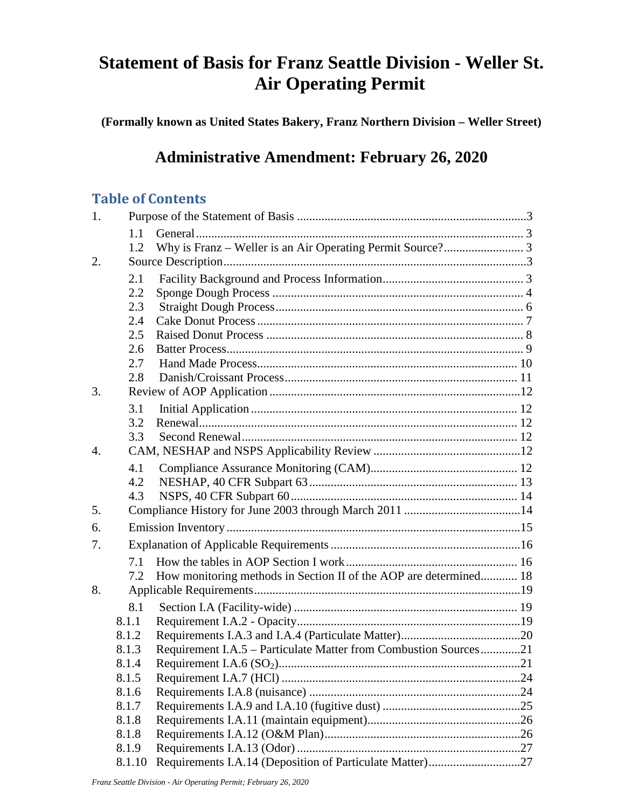# **Statement of Basis for Franz Seattle Division - Weller St. Air Operating Permit**

**(Formally known as United States Bakery, Franz Northern Division – Weller Street)**

# **Administrative Amendment: February 26, 2020**

## **Table of Contents**

| 1. |        |                                                                   |  |  |
|----|--------|-------------------------------------------------------------------|--|--|
|    | 1.1    |                                                                   |  |  |
|    | 1.2    |                                                                   |  |  |
| 2. |        |                                                                   |  |  |
|    | 2.1    |                                                                   |  |  |
|    | 2.2    |                                                                   |  |  |
|    | 2.3    |                                                                   |  |  |
|    | 2.4    |                                                                   |  |  |
|    | 2.5    |                                                                   |  |  |
|    | 2.6    |                                                                   |  |  |
|    | 2.7    |                                                                   |  |  |
|    | 2.8    |                                                                   |  |  |
| 3. |        |                                                                   |  |  |
|    | 3.1    |                                                                   |  |  |
|    | 3.2    |                                                                   |  |  |
|    | 3.3    |                                                                   |  |  |
| 4. |        |                                                                   |  |  |
|    | 4.1    |                                                                   |  |  |
|    | 4.2    |                                                                   |  |  |
|    | 4.3    |                                                                   |  |  |
| 5. |        |                                                                   |  |  |
| 6. |        |                                                                   |  |  |
| 7. |        |                                                                   |  |  |
|    | 7.1    |                                                                   |  |  |
|    | 7.2    | How monitoring methods in Section II of the AOP are determined 18 |  |  |
| 8. |        |                                                                   |  |  |
|    | 8.1    |                                                                   |  |  |
|    | 8.1.1  |                                                                   |  |  |
|    | 8.1.2  |                                                                   |  |  |
|    | 8.1.3  | Requirement I.A.5 – Particulate Matter from Combustion Sources21  |  |  |
|    | 8.1.4  |                                                                   |  |  |
|    | 8.1.5  |                                                                   |  |  |
|    | 8.1.6  |                                                                   |  |  |
|    | 8.1.7  |                                                                   |  |  |
|    | 8.1.8  |                                                                   |  |  |
|    | 8.1.8  |                                                                   |  |  |
|    | 8.1.9  |                                                                   |  |  |
|    | 8.1.10 | Requirements I.A.14 (Deposition of Particulate Matter)27          |  |  |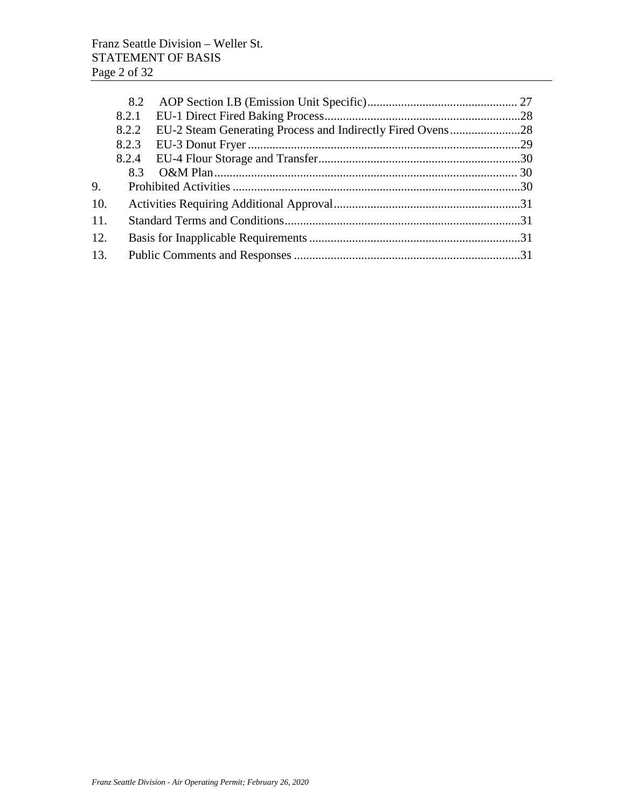|     | 8.2   |  |
|-----|-------|--|
|     | 8.2.1 |  |
|     | 8.2.2 |  |
|     |       |  |
|     |       |  |
|     | 83    |  |
| 9.  |       |  |
| 10. |       |  |
| 11. |       |  |
| 12. |       |  |
| 13. |       |  |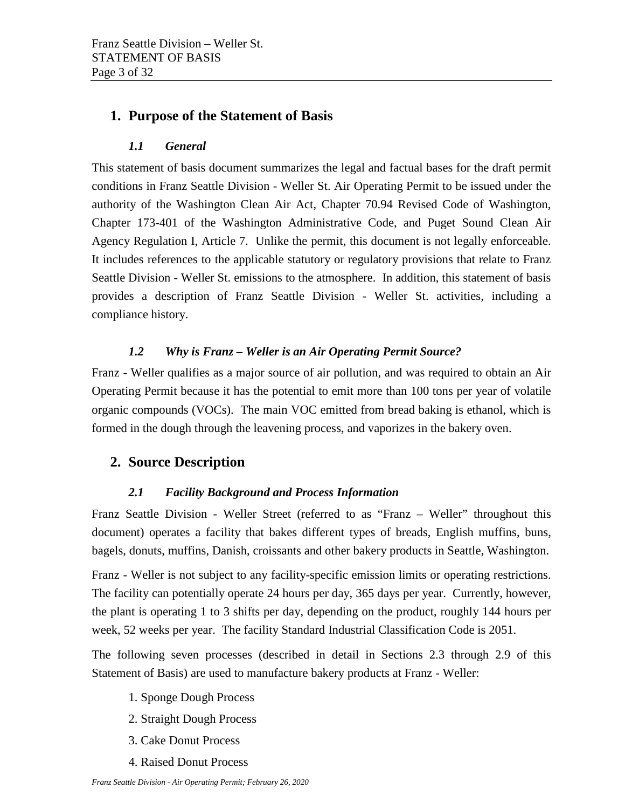## <span id="page-2-1"></span><span id="page-2-0"></span>**1. Purpose of the Statement of Basis**

### *1.1 General*

This statement of basis document summarizes the legal and factual bases for the draft permit conditions in Franz Seattle Division - Weller St. Air Operating Permit to be issued under the authority of the Washington Clean Air Act, Chapter 70.94 Revised Code of Washington, Chapter 173-401 of the Washington Administrative Code, and Puget Sound Clean Air Agency Regulation I, Article 7. Unlike the permit, this document is not legally enforceable. It includes references to the applicable statutory or regulatory provisions that relate to Franz Seattle Division - Weller St. emissions to the atmosphere. In addition, this statement of basis provides a description of Franz Seattle Division - Weller St. activities, including a compliance history.

## *1.2 Why is Franz – Weller is an Air Operating Permit Source?*

<span id="page-2-2"></span>Franz - Weller qualifies as a major source of air pollution, and was required to obtain an Air Operating Permit because it has the potential to emit more than 100 tons per year of volatile organic compounds (VOCs). The main VOC emitted from bread baking is ethanol, which is formed in the dough through the leavening process, and vaporizes in the bakery oven.

## <span id="page-2-4"></span><span id="page-2-3"></span>**2. Source Description**

#### *2.1 Facility Background and Process Information*

Franz Seattle Division - Weller Street (referred to as "Franz – Weller" throughout this document) operates a facility that bakes different types of breads, English muffins, buns, bagels, donuts, muffins, Danish, croissants and other bakery products in Seattle, Washington.

Franz - Weller is not subject to any facility-specific emission limits or operating restrictions. The facility can potentially operate 24 hours per day, 365 days per year. Currently, however, the plant is operating 1 to 3 shifts per day, depending on the product, roughly 144 hours per week, 52 weeks per year. The facility Standard Industrial Classification Code is 2051.

The following seven processes (described in detail in Sections 2.3 through 2.9 of this Statement of Basis) are used to manufacture bakery products at Franz - Weller:

- 1. Sponge Dough Process
- 2. Straight Dough Process
- 3. Cake Donut Process
- 4. Raised Donut Process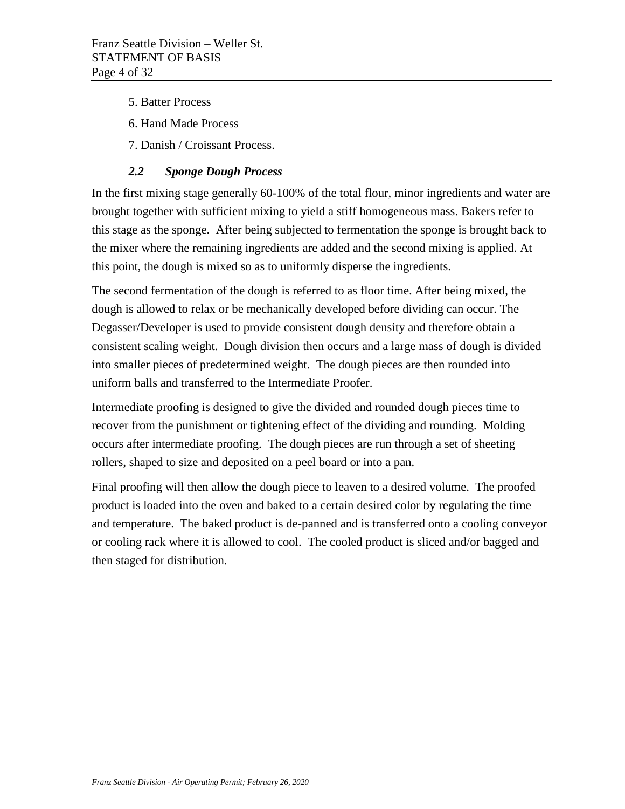- 5. Batter Process
- 6. Hand Made Process
- 7. Danish / Croissant Process.

#### *2.2 Sponge Dough Process*

<span id="page-3-0"></span>In the first mixing stage generally 60-100% of the total flour, minor ingredients and water are brought together with sufficient mixing to yield a stiff homogeneous mass. Bakers refer to this stage as the sponge. After being subjected to fermentation the sponge is brought back to the mixer where the remaining ingredients are added and the second mixing is applied. At this point, the dough is mixed so as to uniformly disperse the ingredients.

The second fermentation of the dough is referred to as floor time. After being mixed, the dough is allowed to relax or be mechanically developed before dividing can occur. The Degasser/Developer is used to provide consistent dough density and therefore obtain a consistent scaling weight. Dough division then occurs and a large mass of dough is divided into smaller pieces of predetermined weight. The dough pieces are then rounded into uniform balls and transferred to the Intermediate Proofer.

Intermediate proofing is designed to give the divided and rounded dough pieces time to recover from the punishment or tightening effect of the dividing and rounding. Molding occurs after intermediate proofing. The dough pieces are run through a set of sheeting rollers, shaped to size and deposited on a peel board or into a pan.

Final proofing will then allow the dough piece to leaven to a desired volume. The proofed product is loaded into the oven and baked to a certain desired color by regulating the time and temperature. The baked product is de-panned and is transferred onto a cooling conveyor or cooling rack where it is allowed to cool. The cooled product is sliced and/or bagged and then staged for distribution.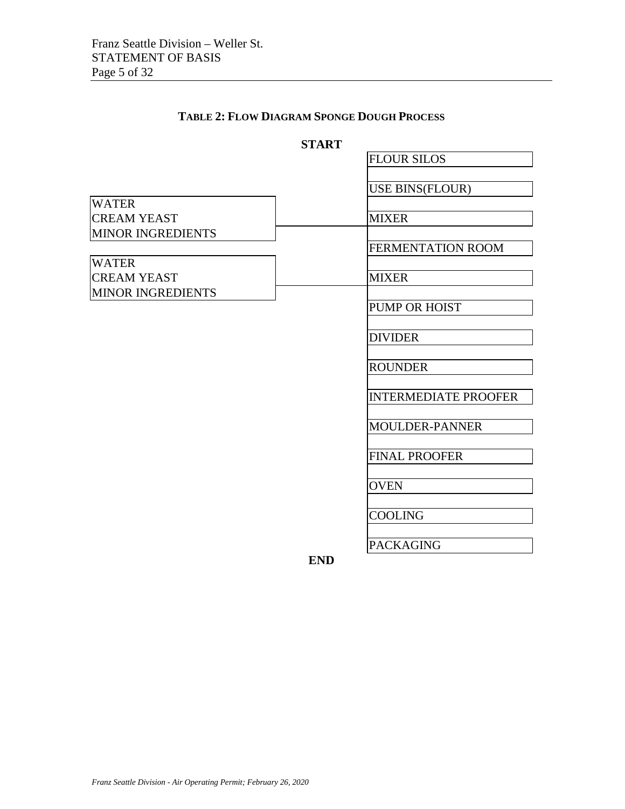### **TABLE 2: FLOW DIAGRAM SPONGE DOUGH PROCESS**

#### **START**

|                          |            | <b>FLOUR SILOS</b>          |
|--------------------------|------------|-----------------------------|
|                          |            |                             |
|                          |            | USE BINS(FLOUR)             |
| <b>WATER</b>             |            |                             |
| <b>CREAM YEAST</b>       |            | <b>MIXER</b>                |
| <b>MINOR INGREDIENTS</b> |            |                             |
|                          |            | <b>FERMENTATION ROOM</b>    |
| <b>WATER</b>             |            |                             |
| <b>CREAM YEAST</b>       |            | <b>MIXER</b>                |
| <b>MINOR INGREDIENTS</b> |            |                             |
|                          |            | <b>PUMP OR HOIST</b>        |
|                          |            |                             |
|                          |            | <b>DIVIDER</b>              |
|                          |            |                             |
|                          |            | <b>ROUNDER</b>              |
|                          |            |                             |
|                          |            | <b>INTERMEDIATE PROOFER</b> |
|                          |            |                             |
|                          |            | <b>MOULDER-PANNER</b>       |
|                          |            |                             |
|                          |            | <b>FINAL PROOFER</b>        |
|                          |            |                             |
|                          |            | <b>OVEN</b>                 |
|                          |            |                             |
|                          |            | <b>COOLING</b>              |
|                          |            |                             |
|                          |            | <b>PACKAGING</b>            |
|                          | <b>END</b> |                             |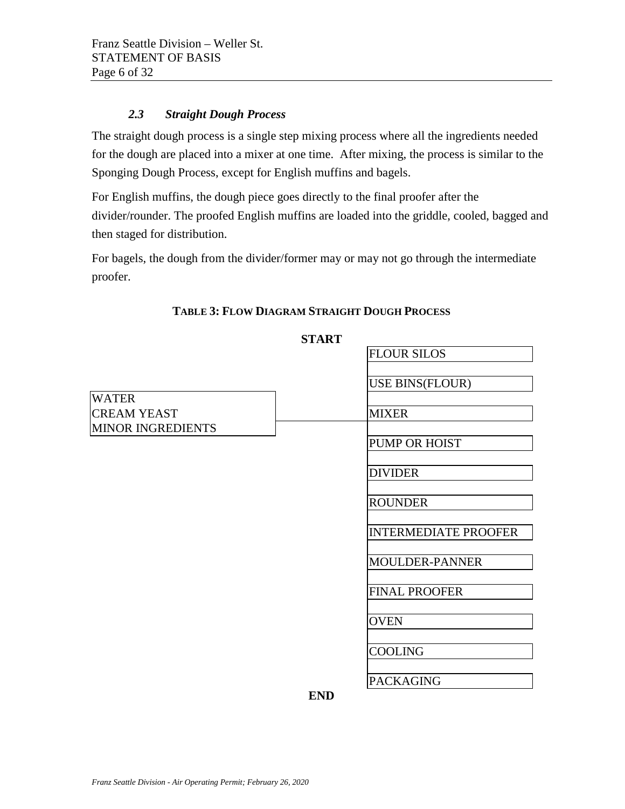#### *2.3 Straight Dough Process*

<span id="page-5-0"></span>The straight dough process is a single step mixing process where all the ingredients needed for the dough are placed into a mixer at one time. After mixing, the process is similar to the Sponging Dough Process, except for English muffins and bagels.

For English muffins, the dough piece goes directly to the final proofer after the divider/rounder. The proofed English muffins are loaded into the griddle, cooled, bagged and then staged for distribution.

For bagels, the dough from the divider/former may or may not go through the intermediate proofer.

|                                                                | <b>START</b>   |                             |
|----------------------------------------------------------------|----------------|-----------------------------|
|                                                                |                | <b>FLOUR SILOS</b>          |
|                                                                |                | <b>USE BINS(FLOUR)</b>      |
| <b>WATER</b><br><b>CREAM YEAST</b><br><b>MINOR INGREDIENTS</b> |                | <b>MIXER</b>                |
|                                                                |                | PUMP OR HOIST               |
|                                                                |                | <b>DIVIDER</b>              |
|                                                                |                | <b>ROUNDER</b>              |
|                                                                |                | <b>INTERMEDIATE PROOFER</b> |
|                                                                |                | MOULDER-PANNER              |
|                                                                |                | <b>FINAL PROOFER</b>        |
|                                                                |                | <b>OVEN</b>                 |
|                                                                |                | <b>COOLING</b>              |
|                                                                | <b>THE TEN</b> | <b>PACKAGING</b>            |

## **TABLE 3: FLOW DIAGRAM STRAIGHT DOUGH PROCESS**

**END**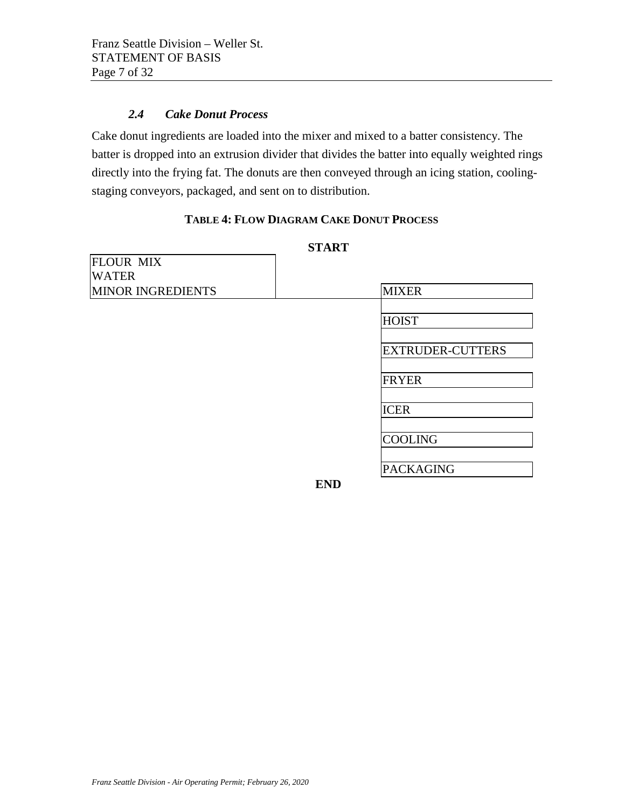#### *2.4 Cake Donut Process*

<span id="page-6-0"></span>Cake donut ingredients are loaded into the mixer and mixed to a batter consistency. The batter is dropped into an extrusion divider that divides the batter into equally weighted rings directly into the frying fat. The donuts are then conveyed through an icing station, coolingstaging conveyors, packaged, and sent on to distribution.

## **TABLE 4: FLOW DIAGRAM CAKE DONUT PROCESS**

**START**

| SIARI                    |            |                         |  |  |  |
|--------------------------|------------|-------------------------|--|--|--|
| <b>FLOUR MIX</b>         |            |                         |  |  |  |
| <b>WATER</b>             |            |                         |  |  |  |
| <b>MINOR INGREDIENTS</b> |            | <b>MIXER</b>            |  |  |  |
|                          |            | <b>HOIST</b>            |  |  |  |
|                          |            | <b>EXTRUDER-CUTTERS</b> |  |  |  |
|                          |            | <b>FRYER</b>            |  |  |  |
|                          |            | <b>ICER</b>             |  |  |  |
|                          |            | <b>COOLING</b>          |  |  |  |
|                          |            | <b>PACKAGING</b>        |  |  |  |
|                          | <b>END</b> |                         |  |  |  |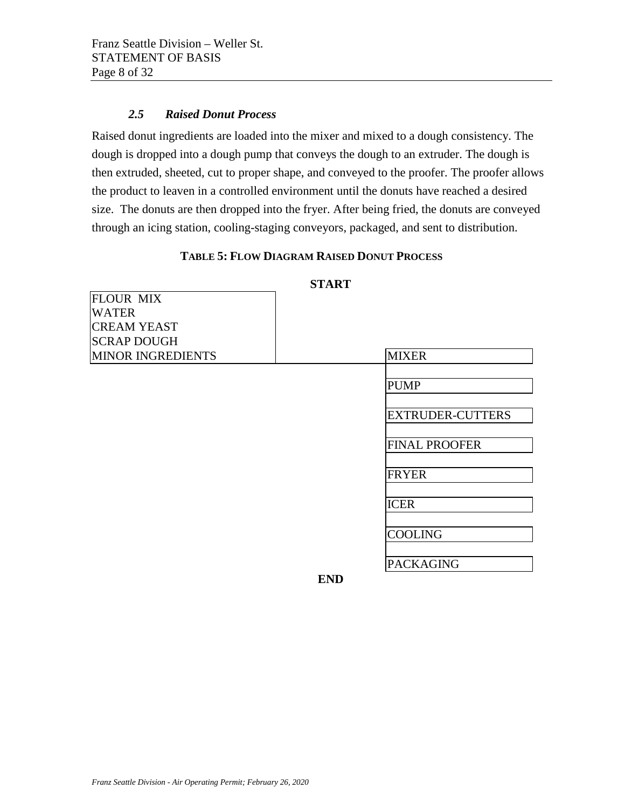ELOUD MIV

#### *2.5 Raised Donut Process*

<span id="page-7-0"></span>Raised donut ingredients are loaded into the mixer and mixed to a dough consistency. The dough is dropped into a dough pump that conveys the dough to an extruder. The dough is then extruded, sheeted, cut to proper shape, and conveyed to the proofer. The proofer allows the product to leaven in a controlled environment until the donuts have reached a desired size. The donuts are then dropped into the fryer. After being fried, the donuts are conveyed through an icing station, cooling-staging conveyors, packaged, and sent to distribution.

#### **TABLE 5: FLOW DIAGRAM RAISED DONUT PROCESS**

| IFLUUN MIA               |            |                         |
|--------------------------|------------|-------------------------|
| <b>WATER</b>             |            |                         |
| <b>CREAM YEAST</b>       |            |                         |
| <b>SCRAP DOUGH</b>       |            |                         |
| <b>MINOR INGREDIENTS</b> |            | <b>MIXER</b>            |
|                          |            |                         |
|                          |            | <b>PUMP</b>             |
|                          |            | <b>EXTRUDER-CUTTERS</b> |
|                          |            | <b>FINAL PROOFER</b>    |
|                          |            |                         |
|                          |            | <b>FRYER</b>            |
|                          |            | <b>ICER</b>             |
|                          |            | <b>COOLING</b>          |
|                          |            | <b>PACKAGING</b>        |
|                          | <b>END</b> |                         |

#### **START**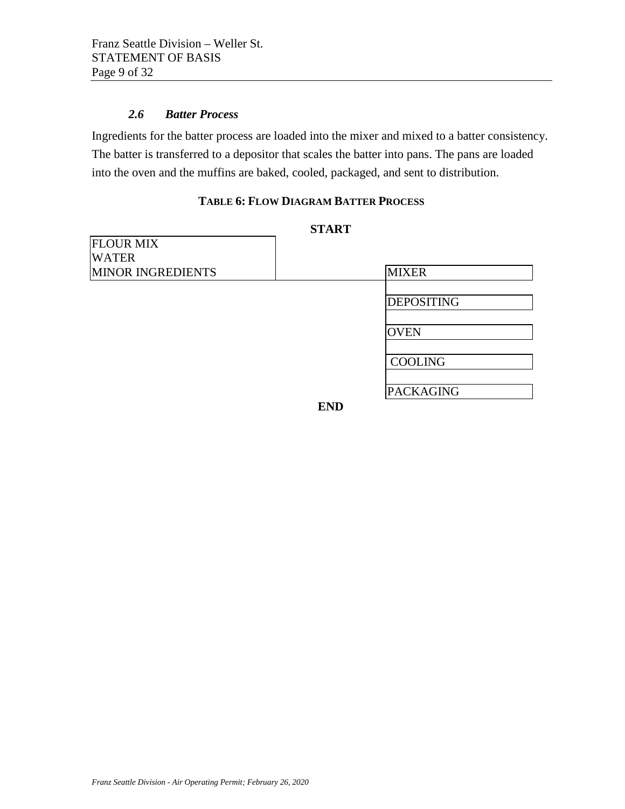#### *2.6 Batter Process*

<span id="page-8-0"></span>Ingredients for the batter process are loaded into the mixer and mixed to a batter consistency. The batter is transferred to a depositor that scales the batter into pans. The pans are loaded into the oven and the muffins are baked, cooled, packaged, and sent to distribution.

#### **TABLE 6: FLOW DIAGRAM BATTER PROCESS**

| <b>START</b>             |            |                   |  |  |  |
|--------------------------|------------|-------------------|--|--|--|
| <b>FLOUR MIX</b>         |            |                   |  |  |  |
| <b>WATER</b>             |            |                   |  |  |  |
| <b>MINOR INGREDIENTS</b> |            | <b>MIXER</b>      |  |  |  |
|                          |            | <b>DEPOSITING</b> |  |  |  |
|                          |            | <b>OVEN</b>       |  |  |  |
|                          |            | <b>COOLING</b>    |  |  |  |
|                          |            | <b>PACKAGING</b>  |  |  |  |
|                          | <b>END</b> |                   |  |  |  |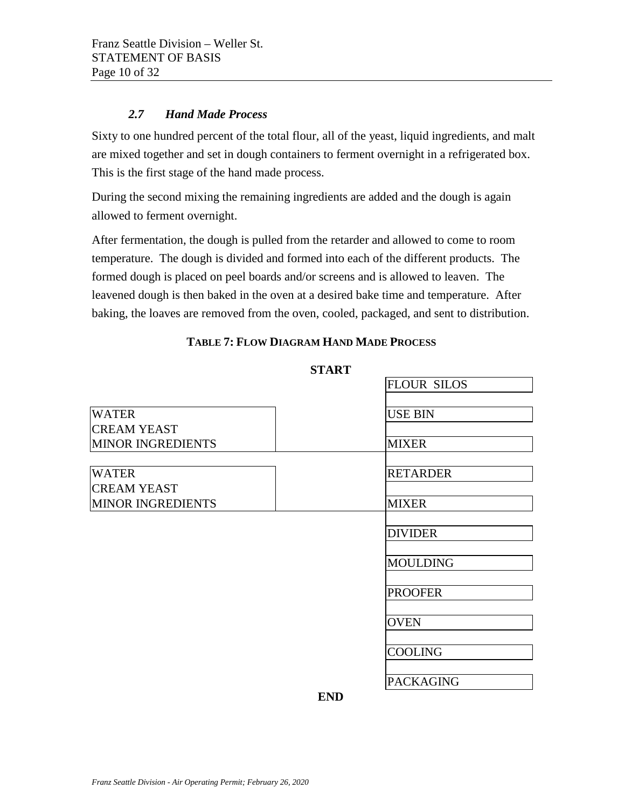#### *2.7 Hand Made Process*

<span id="page-9-0"></span>Sixty to one hundred percent of the total flour, all of the yeast, liquid ingredients, and malt are mixed together and set in dough containers to ferment overnight in a refrigerated box. This is the first stage of the hand made process.

During the second mixing the remaining ingredients are added and the dough is again allowed to ferment overnight.

After fermentation, the dough is pulled from the retarder and allowed to come to room temperature. The dough is divided and formed into each of the different products. The formed dough is placed on peel boards and/or screens and is allowed to leaven. The leavened dough is then baked in the oven at a desired bake time and temperature. After baking, the loaves are removed from the oven, cooled, packaged, and sent to distribution.

#### **TABLE 7: FLOW DIAGRAM HAND MADE PROCESS**

#### **START**

|                          |            | <b>FLOUR SILOS</b> |
|--------------------------|------------|--------------------|
|                          |            |                    |
| <b>WATER</b>             |            | <b>USE BIN</b>     |
| <b>CREAM YEAST</b>       |            |                    |
| <b>MINOR INGREDIENTS</b> |            | <b>MIXER</b>       |
|                          |            |                    |
| <b>WATER</b>             |            | <b>RETARDER</b>    |
| <b>CREAM YEAST</b>       |            |                    |
| <b>MINOR INGREDIENTS</b> |            | <b>MIXER</b>       |
|                          |            |                    |
|                          |            | <b>DIVIDER</b>     |
|                          |            |                    |
|                          |            | <b>MOULDING</b>    |
|                          |            |                    |
|                          |            | <b>PROOFER</b>     |
|                          |            |                    |
|                          |            | <b>OVEN</b>        |
|                          |            |                    |
|                          |            | <b>COOLING</b>     |
|                          |            |                    |
|                          |            | <b>PACKAGING</b>   |
|                          | <b>END</b> |                    |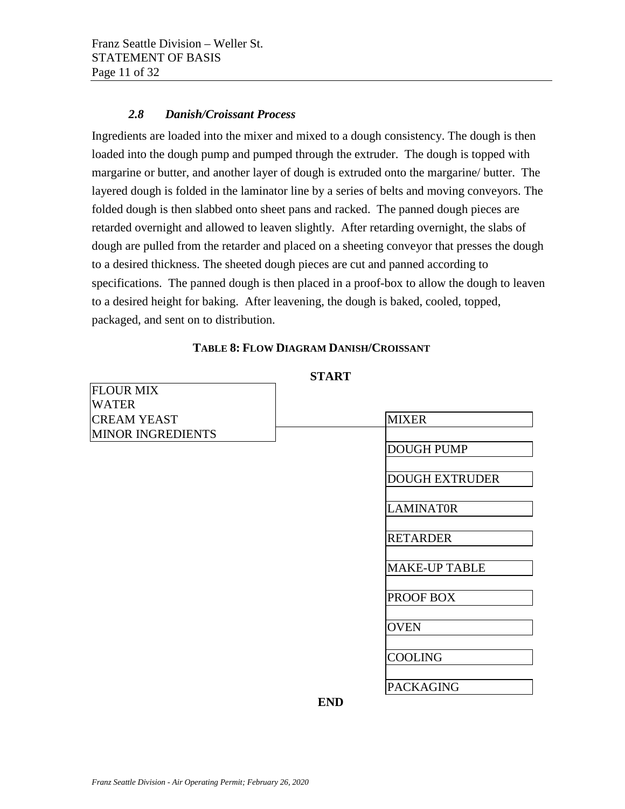#### *2.8 Danish/Croissant Process*

<span id="page-10-0"></span>Ingredients are loaded into the mixer and mixed to a dough consistency. The dough is then loaded into the dough pump and pumped through the extruder. The dough is topped with margarine or butter, and another layer of dough is extruded onto the margarine/ butter. The layered dough is folded in the laminator line by a series of belts and moving conveyors. The folded dough is then slabbed onto sheet pans and racked. The panned dough pieces are retarded overnight and allowed to leaven slightly. After retarding overnight, the slabs of dough are pulled from the retarder and placed on a sheeting conveyor that presses the dough to a desired thickness. The sheeted dough pieces are cut and panned according to specifications. The panned dough is then placed in a proof-box to allow the dough to leaven to a desired height for baking. After leavening, the dough is baked, cooled, topped, packaged, and sent on to distribution.

#### **TABLE 8: FLOW DIAGRAM DANISH/CROISSANT**

**START** 

| <b>FLOUR MIX</b>         |            |                       |
|--------------------------|------------|-----------------------|
| <b>WATER</b>             |            |                       |
| <b>CREAM YEAST</b>       |            | <b>MIXER</b>          |
| <b>MINOR INGREDIENTS</b> |            |                       |
|                          |            | <b>DOUGH PUMP</b>     |
|                          |            | <b>DOUGH EXTRUDER</b> |
|                          |            | <b>LAMINATOR</b>      |
|                          |            | <b>RETARDER</b>       |
|                          |            | <b>MAKE-UP TABLE</b>  |
|                          |            | PROOF BOX             |
|                          |            | <b>OVEN</b>           |
|                          |            | <b>COOLING</b>        |
|                          |            | <b>PACKAGING</b>      |
|                          | <b>END</b> |                       |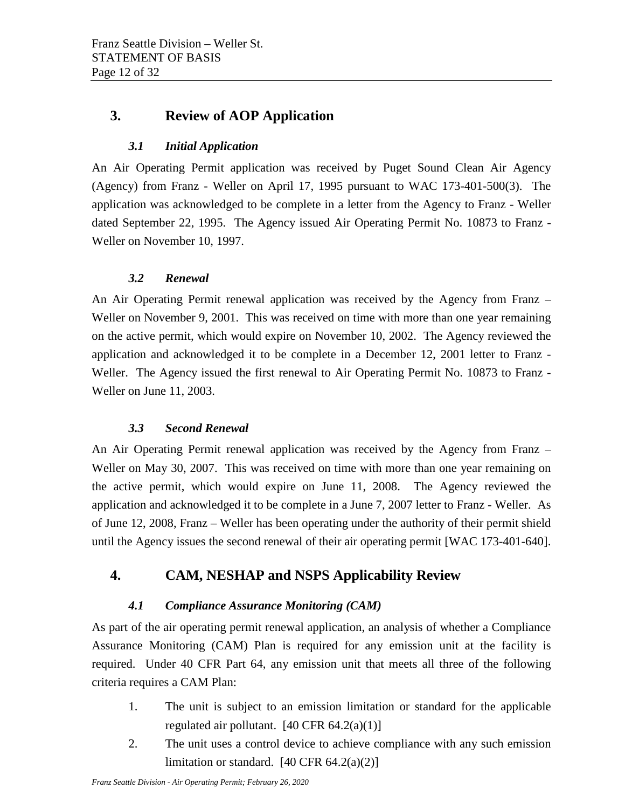## <span id="page-11-1"></span><span id="page-11-0"></span>**3. Review of AOP Application**

### *3.1 Initial Application*

An Air Operating Permit application was received by Puget Sound Clean Air Agency (Agency) from Franz - Weller on April 17, 1995 pursuant to WAC 173-401-500(3). The application was acknowledged to be complete in a letter from the Agency to Franz - Weller dated September 22, 1995. The Agency issued Air Operating Permit No. 10873 to Franz - Weller on November 10, 1997.

## *3.2 Renewal*

<span id="page-11-2"></span>An Air Operating Permit renewal application was received by the Agency from Franz – Weller on November 9, 2001. This was received on time with more than one year remaining on the active permit, which would expire on November 10, 2002. The Agency reviewed the application and acknowledged it to be complete in a December 12, 2001 letter to Franz - Weller. The Agency issued the first renewal to Air Operating Permit No. 10873 to Franz - Weller on June 11, 2003.

#### *3.3 Second Renewal*

<span id="page-11-3"></span>An Air Operating Permit renewal application was received by the Agency from Franz – Weller on May 30, 2007. This was received on time with more than one year remaining on the active permit, which would expire on June 11, 2008. The Agency reviewed the application and acknowledged it to be complete in a June 7, 2007 letter to Franz - Weller. As of June 12, 2008, Franz – Weller has been operating under the authority of their permit shield until the Agency issues the second renewal of their air operating permit [WAC 173-401-640].

## <span id="page-11-5"></span><span id="page-11-4"></span>**4. CAM, NESHAP and NSPS Applicability Review**

## *4.1 Compliance Assurance Monitoring (CAM)*

As part of the air operating permit renewal application, an analysis of whether a Compliance Assurance Monitoring (CAM) Plan is required for any emission unit at the facility is required. Under 40 CFR Part 64, any emission unit that meets all three of the following criteria requires a CAM Plan:

- 1. The unit is subject to an emission limitation or standard for the applicable regulated air pollutant.  $[40 \text{ CFR } 64.2(a)(1)]$
- 2. The unit uses a control device to achieve compliance with any such emission limitation or standard.  $[40 \text{ CFR } 64.2(a)(2)]$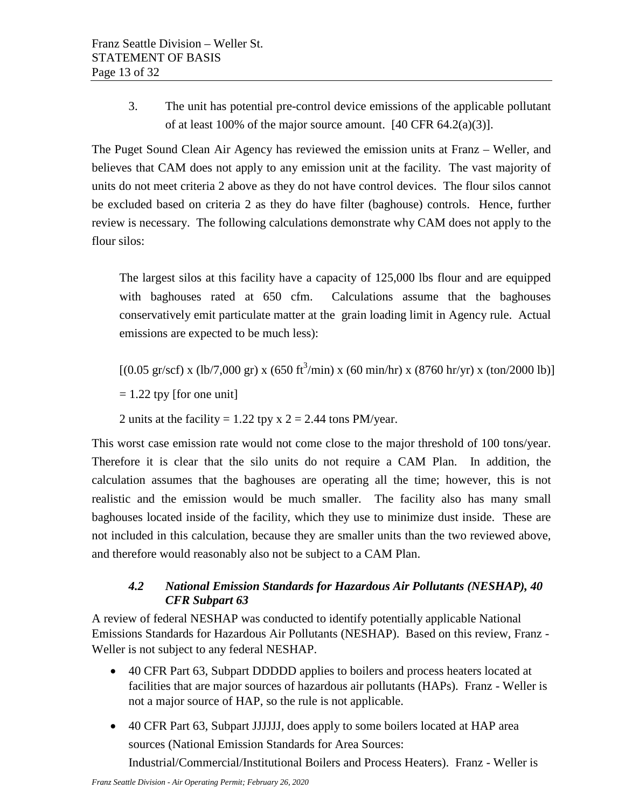3. The unit has potential pre-control device emissions of the applicable pollutant of at least 100% of the major source amount.  $[40 \text{ CFR } 64.2(a)(3)]$ .

The Puget Sound Clean Air Agency has reviewed the emission units at Franz – Weller, and believes that CAM does not apply to any emission unit at the facility. The vast majority of units do not meet criteria 2 above as they do not have control devices. The flour silos cannot be excluded based on criteria 2 as they do have filter (baghouse) controls. Hence, further review is necessary. The following calculations demonstrate why CAM does not apply to the flour silos:

The largest silos at this facility have a capacity of 125,000 lbs flour and are equipped with baghouses rated at 650 cfm. Calculations assume that the baghouses conservatively emit particulate matter at the grain loading limit in Agency rule. Actual emissions are expected to be much less):

 $[(0.05 \text{ gr/scf}) \times (\text{lb}/7,000 \text{ gr}) \times (650 \text{ ft}^3/\text{min}) \times (60 \text{ min/hr}) \times (8760 \text{ hr/yr}) \times (\text{ton}/2000 \text{ lb})]$ 

 $= 1.22$  tpy [for one unit]

2 units at the facility = 1.22 tpy x  $2 = 2.44$  tons PM/year.

This worst case emission rate would not come close to the major threshold of 100 tons/year. Therefore it is clear that the silo units do not require a CAM Plan. In addition, the calculation assumes that the baghouses are operating all the time; however, this is not realistic and the emission would be much smaller. The facility also has many small baghouses located inside of the facility, which they use to minimize dust inside. These are not included in this calculation, because they are smaller units than the two reviewed above, and therefore would reasonably also not be subject to a CAM Plan.

## <span id="page-12-0"></span>*4.2 National Emission Standards for Hazardous Air Pollutants (NESHAP), 40 CFR Subpart 63*

A review of federal NESHAP was conducted to identify potentially applicable National Emissions Standards for Hazardous Air Pollutants (NESHAP). Based on this review, Franz - Weller is not subject to any federal NESHAP.

- 40 CFR Part 63, Subpart DDDDD applies to boilers and process heaters located at facilities that are major sources of hazardous air pollutants (HAPs). Franz - Weller is not a major source of HAP, so the rule is not applicable.
- 40 CFR Part 63, Subpart JJJJJJ, does apply to some boilers located at HAP area sources (National Emission Standards for Area Sources: Industrial/Commercial/Institutional Boilers and Process Heaters). Franz - Weller is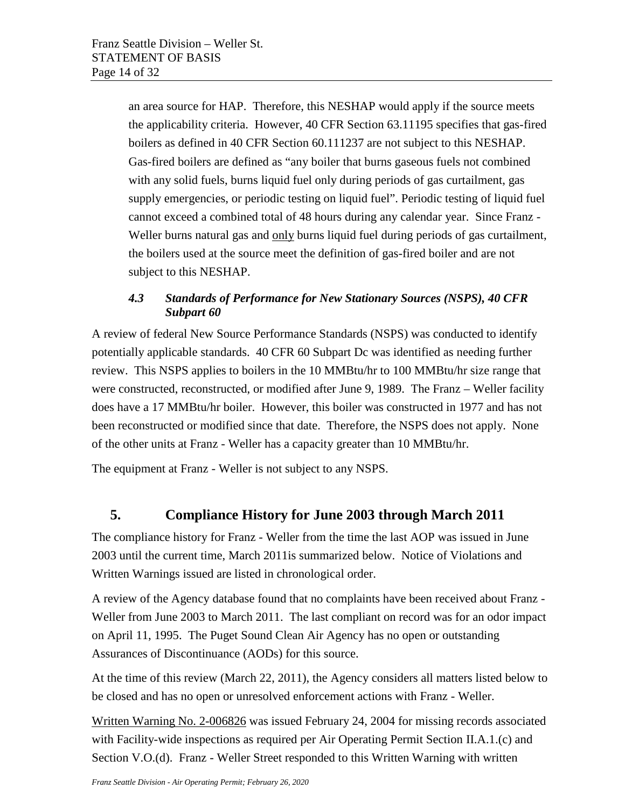an area source for HAP. Therefore, this NESHAP would apply if the source meets the applicability criteria. However, 40 CFR Section 63.11195 specifies that gas-fired boilers as defined in 40 CFR Section 60.111237 are not subject to this NESHAP. Gas-fired boilers are defined as "any boiler that burns gaseous fuels not combined with any solid fuels, burns liquid fuel only during periods of gas curtailment, gas supply emergencies, or periodic testing on liquid fuel". Periodic testing of liquid fuel cannot exceed a combined total of 48 hours during any calendar year. Since Franz - Weller burns natural gas and only burns liquid fuel during periods of gas curtailment, the boilers used at the source meet the definition of gas-fired boiler and are not subject to this NESHAP.

## <span id="page-13-0"></span>*4.3 Standards of Performance for New Stationary Sources (NSPS), 40 CFR Subpart 60*

A review of federal New Source Performance Standards (NSPS) was conducted to identify potentially applicable standards. 40 CFR 60 Subpart Dc was identified as needing further review. This NSPS applies to boilers in the 10 MMBtu/hr to 100 MMBtu/hr size range that were constructed, reconstructed, or modified after June 9, 1989. The Franz – Weller facility does have a 17 MMBtu/hr boiler. However, this boiler was constructed in 1977 and has not been reconstructed or modified since that date. Therefore, the NSPS does not apply. None of the other units at Franz - Weller has a capacity greater than 10 MMBtu/hr.

The equipment at Franz - Weller is not subject to any NSPS.

## <span id="page-13-1"></span>**5. Compliance History for June 2003 through March 2011**

The compliance history for Franz - Weller from the time the last AOP was issued in June 2003 until the current time, March 2011is summarized below. Notice of Violations and Written Warnings issued are listed in chronological order.

A review of the Agency database found that no complaints have been received about Franz - Weller from June 2003 to March 2011. The last compliant on record was for an odor impact on April 11, 1995. The Puget Sound Clean Air Agency has no open or outstanding Assurances of Discontinuance (AODs) for this source.

At the time of this review (March 22, 2011), the Agency considers all matters listed below to be closed and has no open or unresolved enforcement actions with Franz - Weller.

Written Warning No. 2-006826 was issued February 24, 2004 for missing records associated with Facility-wide inspections as required per Air Operating Permit Section II.A.1.(c) and Section V.O.(d). Franz - Weller Street responded to this Written Warning with written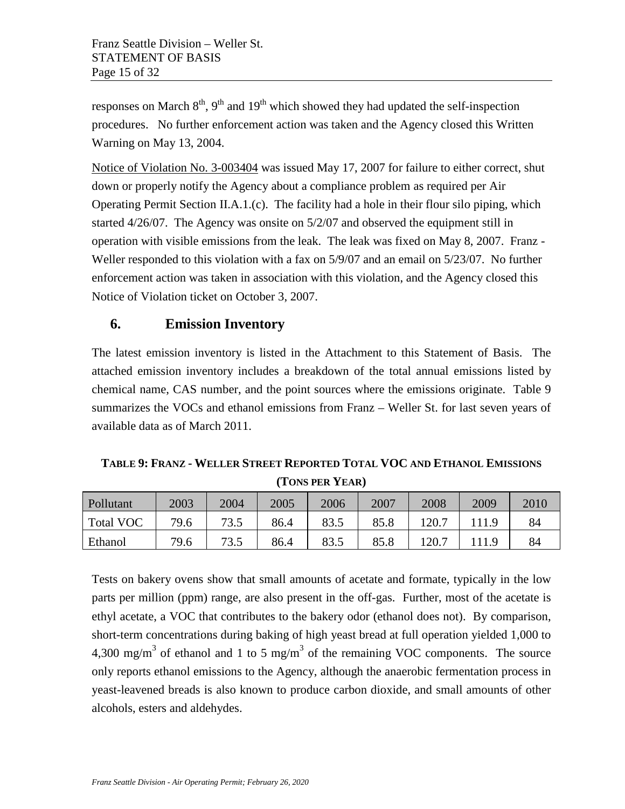responses on March  $8<sup>th</sup>$ , 9<sup>th</sup> and 19<sup>th</sup> which showed they had updated the self-inspection procedures. No further enforcement action was taken and the Agency closed this Written Warning on May 13, 2004.

Notice of Violation No. 3-003404 was issued May 17, 2007 for failure to either correct, shut down or properly notify the Agency about a compliance problem as required per Air Operating Permit Section II.A.1.(c). The facility had a hole in their flour silo piping, which started 4/26/07. The Agency was onsite on 5/2/07 and observed the equipment still in operation with visible emissions from the leak. The leak was fixed on May 8, 2007. Franz - Weller responded to this violation with a fax on 5/9/07 and an email on 5/23/07. No further enforcement action was taken in association with this violation, and the Agency closed this Notice of Violation ticket on October 3, 2007.

## <span id="page-14-0"></span>**6. Emission Inventory**

The latest emission inventory is listed in the Attachment to this Statement of Basis. The attached emission inventory includes a breakdown of the total annual emissions listed by chemical name, CAS number, and the point sources where the emissions originate. Table 9 summarizes the VOCs and ethanol emissions from Franz – Weller St. for last seven years of available data as of March 2011.

**TABLE 9: FRANZ - WELLER STREET REPORTED TOTAL VOC AND ETHANOL EMISSIONS (TONS PER YEAR)**

| Pollutant        | 2003 | 2004        | 2005 | 2006 | 2007 | 2008  | 2009 | 2010 |
|------------------|------|-------------|------|------|------|-------|------|------|
| <b>Total VOC</b> | 79.6 | 73.5        | 86.4 | 83.5 | 85.8 | 120.7 |      | 84   |
| Ethanol          | 79.6 | 73 5<br>ن ر | 86.4 | 83.5 | 85.8 | 120.7 |      | 84   |

Tests on bakery ovens show that small amounts of acetate and formate, typically in the low parts per million (ppm) range, are also present in the off-gas. Further, most of the acetate is ethyl acetate, a VOC that contributes to the bakery odor (ethanol does not). By comparison, short-term concentrations during baking of high yeast bread at full operation yielded 1,000 to 4,300 mg/m<sup>3</sup> of ethanol and 1 to 5 mg/m<sup>3</sup> of the remaining VOC components. The source only reports ethanol emissions to the Agency, although the anaerobic fermentation process in yeast-leavened breads is also known to produce carbon dioxide, and small amounts of other alcohols, esters and aldehydes.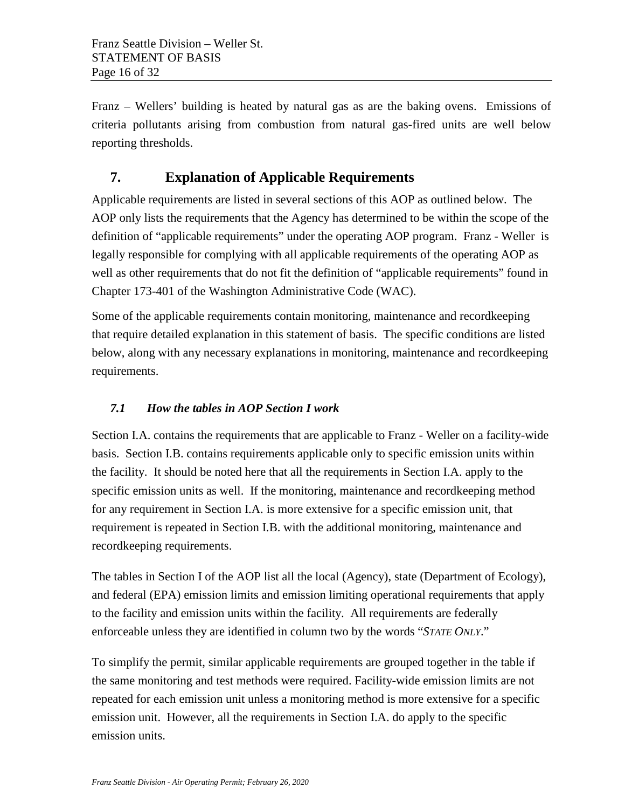Franz – Wellers' building is heated by natural gas as are the baking ovens. Emissions of criteria pollutants arising from combustion from natural gas-fired units are well below reporting thresholds.

## <span id="page-15-0"></span>**7. Explanation of Applicable Requirements**

Applicable requirements are listed in several sections of this AOP as outlined below. The AOP only lists the requirements that the Agency has determined to be within the scope of the definition of "applicable requirements" under the operating AOP program. Franz - Weller is legally responsible for complying with all applicable requirements of the operating AOP as well as other requirements that do not fit the definition of "applicable requirements" found in Chapter 173-401 of the Washington Administrative Code (WAC).

Some of the applicable requirements contain monitoring, maintenance and recordkeeping that require detailed explanation in this statement of basis. The specific conditions are listed below, along with any necessary explanations in monitoring, maintenance and recordkeeping requirements.

## <span id="page-15-1"></span>*7.1 How the tables in AOP Section I work*

Section I.A. contains the requirements that are applicable to Franz - Weller on a facility-wide basis. Section I.B. contains requirements applicable only to specific emission units within the facility. It should be noted here that all the requirements in Section I.A. apply to the specific emission units as well. If the monitoring, maintenance and recordkeeping method for any requirement in Section I.A. is more extensive for a specific emission unit, that requirement is repeated in Section I.B. with the additional monitoring, maintenance and recordkeeping requirements.

The tables in Section I of the AOP list all the local (Agency), state (Department of Ecology), and federal (EPA) emission limits and emission limiting operational requirements that apply to the facility and emission units within the facility. All requirements are federally enforceable unless they are identified in column two by the words "*STATE ONLY*."

To simplify the permit, similar applicable requirements are grouped together in the table if the same monitoring and test methods were required. Facility-wide emission limits are not repeated for each emission unit unless a monitoring method is more extensive for a specific emission unit. However, all the requirements in Section I.A. do apply to the specific emission units.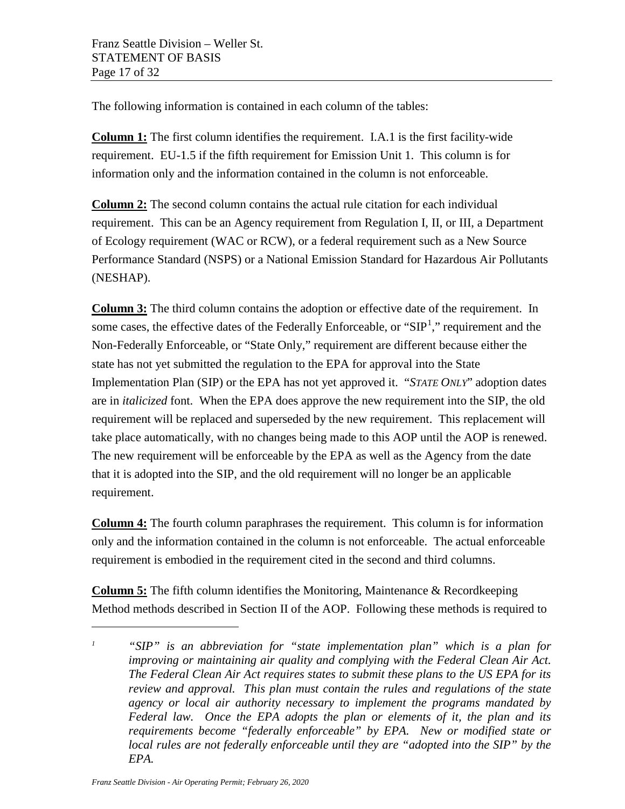The following information is contained in each column of the tables:

**Column 1:** The first column identifies the requirement. I.A.1 is the first facility-wide requirement. EU-1.5 if the fifth requirement for Emission Unit 1. This column is for information only and the information contained in the column is not enforceable.

**Column 2:** The second column contains the actual rule citation for each individual requirement. This can be an Agency requirement from Regulation I, II, or III, a Department of Ecology requirement (WAC or RCW), or a federal requirement such as a New Source Performance Standard (NSPS) or a National Emission Standard for Hazardous Air Pollutants (NESHAP).

**Column 3:** The third column contains the adoption or effective date of the requirement. In some cases, the effective dates of the Federally Enforceable, or " $SIP<sup>1</sup>$  $SIP<sup>1</sup>$  $SIP<sup>1</sup>$ ," requirement and the Non-Federally Enforceable, or "State Only," requirement are different because either the state has not yet submitted the regulation to the EPA for approval into the State Implementation Plan (SIP) or the EPA has not yet approved it. "*STATE ONLY*" adoption dates are in *italicized* font. When the EPA does approve the new requirement into the SIP, the old requirement will be replaced and superseded by the new requirement. This replacement will take place automatically, with no changes being made to this AOP until the AOP is renewed. The new requirement will be enforceable by the EPA as well as the Agency from the date that it is adopted into the SIP, and the old requirement will no longer be an applicable requirement.

**Column 4:** The fourth column paraphrases the requirement. This column is for information only and the information contained in the column is not enforceable. The actual enforceable requirement is embodied in the requirement cited in the second and third columns.

**Column 5:** The fifth column identifies the Monitoring, Maintenance & Recordkeeping Method methods described in Section II of the AOP. Following these methods is required to

 $\overline{a}$ 

<span id="page-16-0"></span>*<sup>1</sup> "SIP" is an abbreviation for "state implementation plan" which is a plan for improving or maintaining air quality and complying with the Federal Clean Air Act. The Federal Clean Air Act requires states to submit these plans to the US EPA for its review and approval. This plan must contain the rules and regulations of the state agency or local air authority necessary to implement the programs mandated by Federal law. Once the EPA adopts the plan or elements of it, the plan and its requirements become "federally enforceable" by EPA. New or modified state or local rules are not federally enforceable until they are "adopted into the SIP" by the EPA.*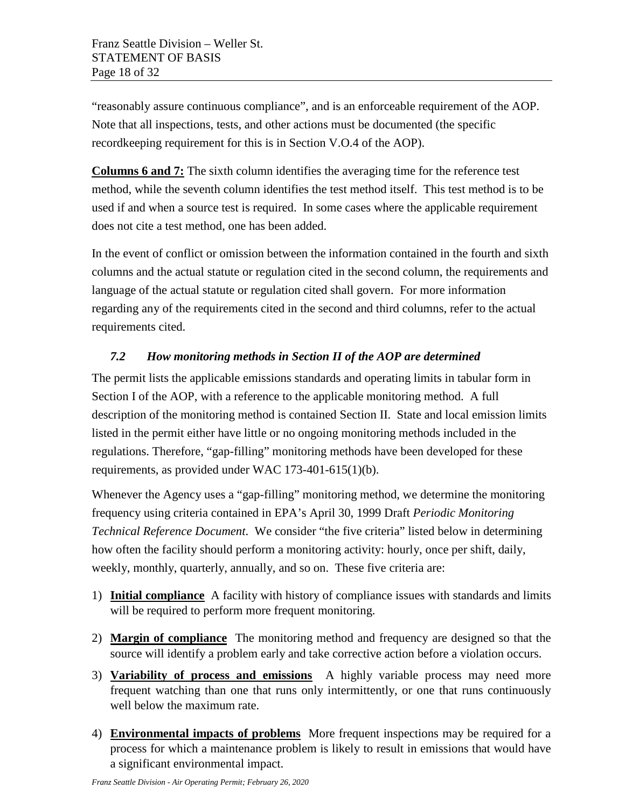"reasonably assure continuous compliance", and is an enforceable requirement of the AOP. Note that all inspections, tests, and other actions must be documented (the specific recordkeeping requirement for this is in Section V.O.4 of the AOP).

**Columns 6 and 7:** The sixth column identifies the averaging time for the reference test method, while the seventh column identifies the test method itself. This test method is to be used if and when a source test is required. In some cases where the applicable requirement does not cite a test method, one has been added.

In the event of conflict or omission between the information contained in the fourth and sixth columns and the actual statute or regulation cited in the second column, the requirements and language of the actual statute or regulation cited shall govern. For more information regarding any of the requirements cited in the second and third columns, refer to the actual requirements cited.

## <span id="page-17-0"></span>*7.2 How monitoring methods in Section II of the AOP are determined*

The permit lists the applicable emissions standards and operating limits in tabular form in Section I of the AOP, with a reference to the applicable monitoring method. A full description of the monitoring method is contained Section II. State and local emission limits listed in the permit either have little or no ongoing monitoring methods included in the regulations. Therefore, "gap-filling" monitoring methods have been developed for these requirements, as provided under WAC 173-401-615(1)(b).

Whenever the Agency uses a "gap-filling" monitoring method, we determine the monitoring frequency using criteria contained in EPA's April 30, 1999 Draft *Periodic Monitoring Technical Reference Document*. We consider "the five criteria" listed below in determining how often the facility should perform a monitoring activity: hourly, once per shift, daily, weekly, monthly, quarterly, annually, and so on. These five criteria are:

- 1) **Initial compliance** A facility with history of compliance issues with standards and limits will be required to perform more frequent monitoring.
- 2) **Margin of compliance** The monitoring method and frequency are designed so that the source will identify a problem early and take corrective action before a violation occurs.
- 3) **Variability of process and emissions** A highly variable process may need more frequent watching than one that runs only intermittently, or one that runs continuously well below the maximum rate.
- 4) **Environmental impacts of problems** More frequent inspections may be required for a process for which a maintenance problem is likely to result in emissions that would have a significant environmental impact.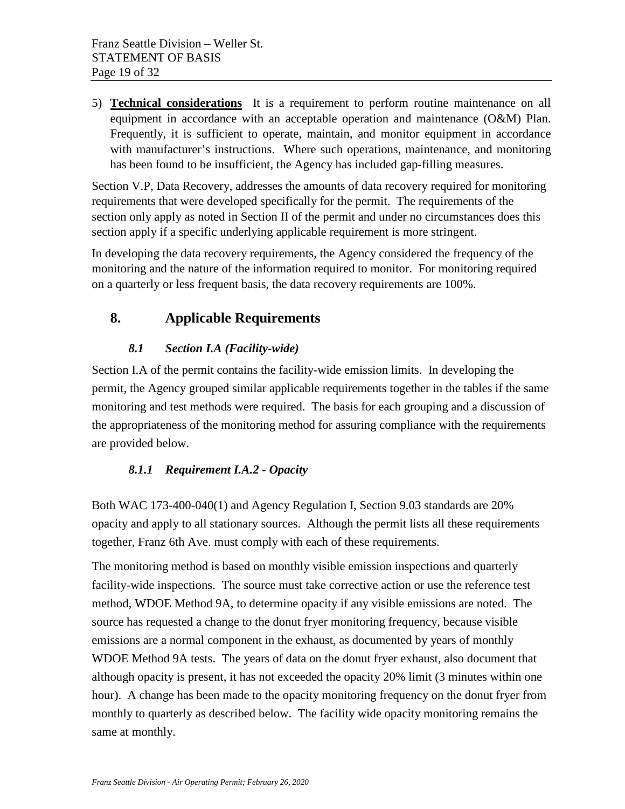5) **Technical considerations** It is a requirement to perform routine maintenance on all equipment in accordance with an acceptable operation and maintenance (O&M) Plan. Frequently, it is sufficient to operate, maintain, and monitor equipment in accordance with manufacturer's instructions. Where such operations, maintenance, and monitoring has been found to be insufficient, the Agency has included gap-filling measures.

Section V.P, Data Recovery, addresses the amounts of data recovery required for monitoring requirements that were developed specifically for the permit. The requirements of the section only apply as noted in Section II of the permit and under no circumstances does this section apply if a specific underlying applicable requirement is more stringent.

In developing the data recovery requirements, the Agency considered the frequency of the monitoring and the nature of the information required to monitor. For monitoring required on a quarterly or less frequent basis, the data recovery requirements are 100%.

## <span id="page-18-1"></span><span id="page-18-0"></span>**8. Applicable Requirements**

## *8.1 Section I.A (Facility-wide)*

Section I.A of the permit contains the facility-wide emission limits. In developing the permit, the Agency grouped similar applicable requirements together in the tables if the same monitoring and test methods were required. The basis for each grouping and a discussion of the appropriateness of the monitoring method for assuring compliance with the requirements are provided below.

#### <span id="page-18-2"></span>*8.1.1 Requirement I.A.2 - Opacity*

Both WAC 173-400-040(1) and Agency Regulation I, Section 9.03 standards are 20% opacity and apply to all stationary sources. Although the permit lists all these requirements together, Franz 6th Ave. must comply with each of these requirements.

The monitoring method is based on monthly visible emission inspections and quarterly facility-wide inspections. The source must take corrective action or use the reference test method, WDOE Method 9A, to determine opacity if any visible emissions are noted. The source has requested a change to the donut fryer monitoring frequency, because visible emissions are a normal component in the exhaust, as documented by years of monthly WDOE Method 9A tests. The years of data on the donut fryer exhaust, also document that although opacity is present, it has not exceeded the opacity 20% limit (3 minutes within one hour). A change has been made to the opacity monitoring frequency on the donut fryer from monthly to quarterly as described below. The facility wide opacity monitoring remains the same at monthly.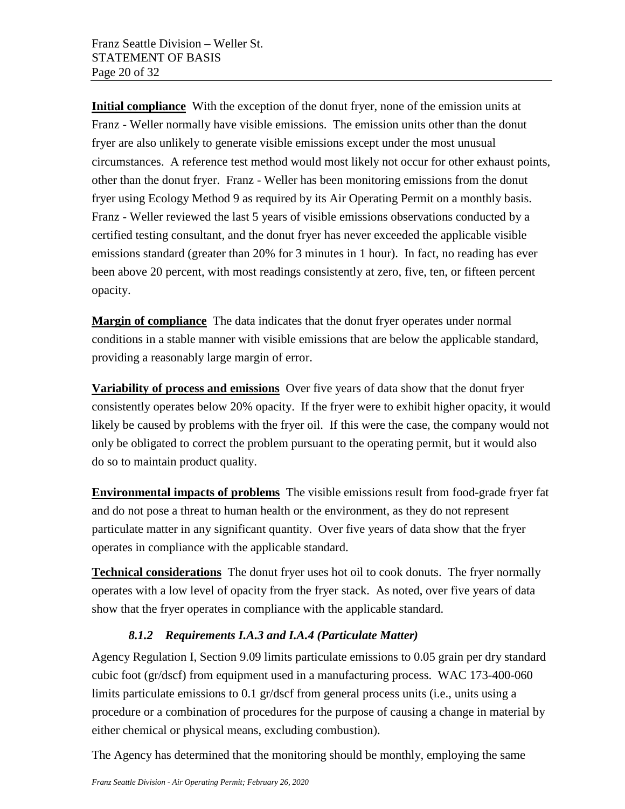**Initial compliance** With the exception of the donut fryer, none of the emission units at Franz - Weller normally have visible emissions. The emission units other than the donut fryer are also unlikely to generate visible emissions except under the most unusual circumstances. A reference test method would most likely not occur for other exhaust points, other than the donut fryer. Franz - Weller has been monitoring emissions from the donut fryer using Ecology Method 9 as required by its Air Operating Permit on a monthly basis. Franz - Weller reviewed the last 5 years of visible emissions observations conducted by a certified testing consultant, and the donut fryer has never exceeded the applicable visible emissions standard (greater than 20% for 3 minutes in 1 hour). In fact, no reading has ever been above 20 percent, with most readings consistently at zero, five, ten, or fifteen percent opacity.

**Margin of compliance** The data indicates that the donut fryer operates under normal conditions in a stable manner with visible emissions that are below the applicable standard, providing a reasonably large margin of error.

**Variability of process and emissions** Over five years of data show that the donut fryer consistently operates below 20% opacity. If the fryer were to exhibit higher opacity, it would likely be caused by problems with the fryer oil. If this were the case, the company would not only be obligated to correct the problem pursuant to the operating permit, but it would also do so to maintain product quality.

**Environmental impacts of problems** The visible emissions result from food-grade fryer fat and do not pose a threat to human health or the environment, as they do not represent particulate matter in any significant quantity. Over five years of data show that the fryer operates in compliance with the applicable standard.

**Technical considerations** The donut fryer uses hot oil to cook donuts. The fryer normally operates with a low level of opacity from the fryer stack. As noted, over five years of data show that the fryer operates in compliance with the applicable standard.

## *8.1.2 Requirements I.A.3 and I.A.4 (Particulate Matter)*

<span id="page-19-0"></span>Agency Regulation I, Section 9.09 limits particulate emissions to 0.05 grain per dry standard cubic foot (gr/dscf) from equipment used in a manufacturing process. WAC 173-400-060 limits particulate emissions to 0.1 gr/dscf from general process units (i.e., units using a procedure or a combination of procedures for the purpose of causing a change in material by either chemical or physical means, excluding combustion).

The Agency has determined that the monitoring should be monthly, employing the same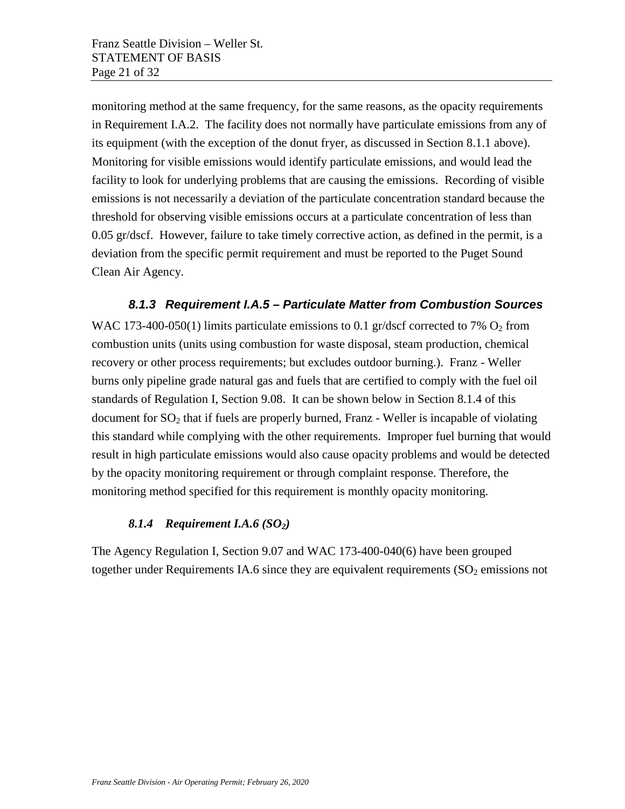monitoring method at the same frequency, for the same reasons, as the opacity requirements in Requirement I.A.2. The facility does not normally have particulate emissions from any of its equipment (with the exception of the donut fryer, as discussed in Section 8.1.1 above). Monitoring for visible emissions would identify particulate emissions, and would lead the facility to look for underlying problems that are causing the emissions. Recording of visible emissions is not necessarily a deviation of the particulate concentration standard because the threshold for observing visible emissions occurs at a particulate concentration of less than 0.05 gr/dscf. However, failure to take timely corrective action, as defined in the permit, is a deviation from the specific permit requirement and must be reported to the Puget Sound Clean Air Agency.

#### *8.1.3 Requirement I.A.5 – Particulate Matter from Combustion Sources*

<span id="page-20-0"></span>WAC 173-400-050(1) limits particulate emissions to 0.1 gr/dscf corrected to 7%  $O_2$  from combustion units (units using combustion for waste disposal, steam production, chemical recovery or other process requirements; but excludes outdoor burning.). Franz - Weller burns only pipeline grade natural gas and fuels that are certified to comply with the fuel oil standards of Regulation I, Section 9.08. It can be shown below in Section 8.1.4 of this document for  $SO<sub>2</sub>$  that if fuels are properly burned, Franz - Weller is incapable of violating this standard while complying with the other requirements. Improper fuel burning that would result in high particulate emissions would also cause opacity problems and would be detected by the opacity monitoring requirement or through complaint response. Therefore, the monitoring method specified for this requirement is monthly opacity monitoring.

#### <span id="page-20-1"></span>**8.1.4** *Requirement I.A.6* (SO<sub>2</sub>)

The Agency Regulation I, Section 9.07 and WAC 173-400-040(6) have been grouped together under Requirements IA.6 since they are equivalent requirements  $(SO<sub>2</sub>$  emissions not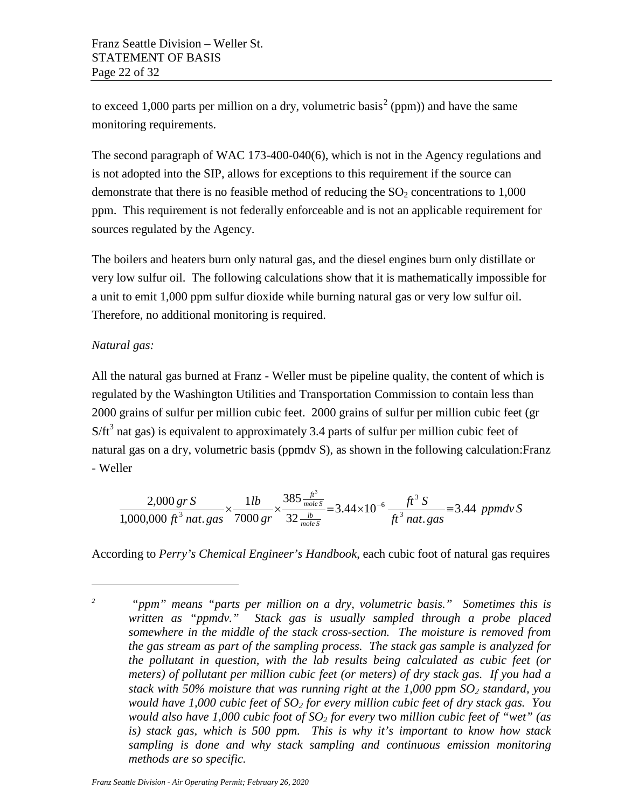to exceed 1,000 parts per million on a dry, volumetric basis<sup>[2](#page-21-0)</sup> (ppm)) and have the same monitoring requirements.

The second paragraph of WAC 173-400-040(6), which is not in the Agency regulations and is not adopted into the SIP, allows for exceptions to this requirement if the source can demonstrate that there is no feasible method of reducing the  $SO<sub>2</sub>$  concentrations to 1,000 ppm. This requirement is not federally enforceable and is not an applicable requirement for sources regulated by the Agency.

The boilers and heaters burn only natural gas, and the diesel engines burn only distillate or very low sulfur oil. The following calculations show that it is mathematically impossible for a unit to emit 1,000 ppm sulfur dioxide while burning natural gas or very low sulfur oil. Therefore, no additional monitoring is required.

## *Natural gas:*

 $\overline{a}$ 

All the natural gas burned at Franz - Weller must be pipeline quality, the content of which is regulated by the Washington Utilities and Transportation Commission to contain less than 2000 grains of sulfur per million cubic feet. 2000 grains of sulfur per million cubic feet (gr  $S/ft<sup>3</sup>$  nat gas) is equivalent to approximately 3.4 parts of sulfur per million cubic feet of natural gas on a dry, volumetric basis (ppmdv S), as shown in the following calculation:Franz - Weller

$$
\frac{2,000 \text{ gr S}}{1,000,000 \text{ ft}^3 \text{ nat. gas}} \times \frac{1 \text{ lb}}{7000 \text{ gr}} \times \frac{385 \frac{\text{ ft}^3}{\text{ mole S}}}{32 \frac{\text{lb}}{\text{ mole S}}} = 3.44 \times 10^{-6} \frac{\text{ft}^3 \text{ S}}{\text{ft}^3 \text{ nat. gas}} = 3.44 \text{ ppmdv S}
$$

According to *Perry's Chemical Engineer's Handbook*, each cubic foot of natural gas requires

<span id="page-21-0"></span>*<sup>2</sup> "ppm" means "parts per million on a dry, volumetric basis." Sometimes this is written as "ppmdv." Stack gas is usually sampled through a probe placed somewhere in the middle of the stack cross-section. The moisture is removed from the gas stream as part of the sampling process. The stack gas sample is analyzed for the pollutant in question, with the lab results being calculated as cubic feet (or meters) of pollutant per million cubic feet (or meters) of dry stack gas. If you had a stack with 50% moisture that was running right at the 1,000 ppm SO2 standard, you would have 1,000 cubic feet of SO2 for every million cubic feet of dry stack gas. You would also have 1,000 cubic foot of SO2 for every* two *million cubic feet of "wet" (as is) stack gas, which is 500 ppm. This is why it's important to know how stack sampling is done and why stack sampling and continuous emission monitoring methods are so specific.*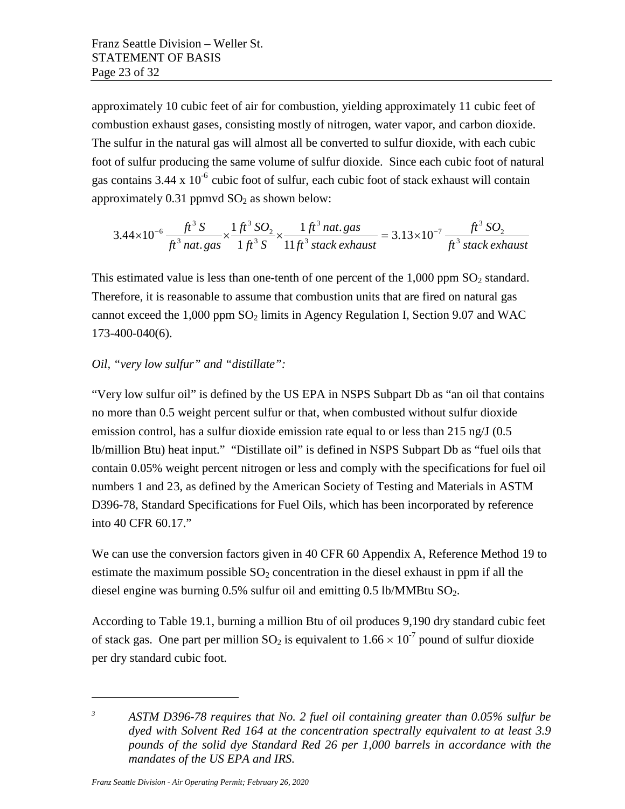approximately 10 cubic feet of air for combustion, yielding approximately 11 cubic feet of combustion exhaust gases, consisting mostly of nitrogen, water vapor, and carbon dioxide. The sulfur in the natural gas will almost all be converted to sulfur dioxide, with each cubic foot of sulfur producing the same volume of sulfur dioxide. Since each cubic foot of natural gas contains  $3.44 \times 10^{-6}$  cubic foot of sulfur, each cubic foot of stack exhaust will contain approximately  $0.31$  ppmvd  $SO<sub>2</sub>$  as shown below:

$$
3.44 \times 10^{-6} \frac{ft^3 S}{ft^3 n at. gas} \times \frac{1 ft^3 SO_2}{1 ft^3 S} \times \frac{1 ft^3 n at. gas}{11 ft^3 stack exhaust} = 3.13 \times 10^{-7} \frac{ft^3 SO_2}{ft^3 stack exhaust}
$$

This estimated value is less than one-tenth of one percent of the  $1,000$  ppm  $SO<sub>2</sub>$  standard. Therefore, it is reasonable to assume that combustion units that are fired on natural gas cannot exceed the  $1,000$  ppm  $SO<sub>2</sub>$  limits in Agency Regulation I, Section 9.07 and WAC 173-400-040(6).

#### *Oil, "very low sulfur" and "distillate":*

"Very low sulfur oil" is defined by the US EPA in NSPS Subpart Db as "an oil that contains no more than 0.5 weight percent sulfur or that, when combusted without sulfur dioxide emission control, has a sulfur dioxide emission rate equal to or less than 215 ng/J (0.5 lb/million Btu) heat input." "Distillate oil" is defined in NSPS Subpart Db as "fuel oils that contain 0.05% weight percent nitrogen or less and comply with the specifications for fuel oil numbers 1 and 2[3](#page-22-0), as defined by the American Society of Testing and Materials in ASTM D396-78, Standard Specifications for Fuel Oils, which has been incorporated by reference into 40 CFR 60.17."

We can use the conversion factors given in 40 CFR 60 Appendix A, Reference Method 19 to estimate the maximum possible  $SO_2$  concentration in the diesel exhaust in ppm if all the diesel engine was burning  $0.5\%$  sulfur oil and emitting  $0.5$  lb/MMBtu  $SO<sub>2</sub>$ .

According to Table 19.1, burning a million Btu of oil produces 9,190 dry standard cubic feet of stack gas. One part per million  $SO_2$  is equivalent to  $1.66 \times 10^{-7}$  pound of sulfur dioxide per dry standard cubic foot.

 $\overline{a}$ 

<span id="page-22-0"></span>*<sup>3</sup> ASTM D396-78 requires that No. 2 fuel oil containing greater than 0.05% sulfur be dyed with Solvent Red 164 at the concentration spectrally equivalent to at least 3.9 pounds of the solid dye Standard Red 26 per 1,000 barrels in accordance with the mandates of the US EPA and IRS.*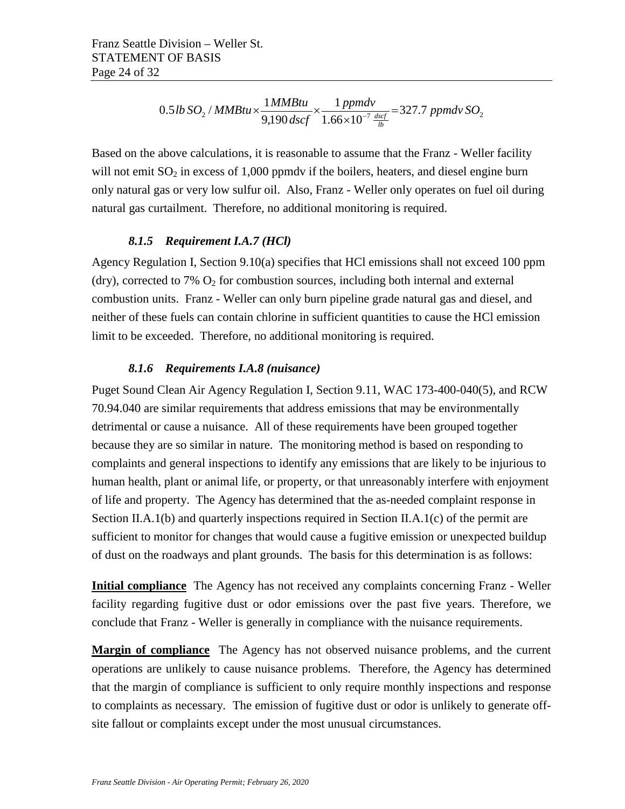$$
0.5 lb\,SO_{2}/MMBtu \times \frac{1MMBtu}{9,190\,dscf} \times \frac{1\,ppmdv}{1.66 \times 10^{-7} \frac{dscf}{lb}} = 327.7\,ppmdv\,SO_{2}
$$

Based on the above calculations, it is reasonable to assume that the Franz - Weller facility will not emit  $SO_2$  in excess of 1,000 ppmdy if the boilers, heaters, and diesel engine burn only natural gas or very low sulfur oil. Also, Franz - Weller only operates on fuel oil during natural gas curtailment. Therefore, no additional monitoring is required.

#### *8.1.5 Requirement I.A.7 (HCl)*

<span id="page-23-0"></span>Agency Regulation I, Section 9.10(a) specifies that HCl emissions shall not exceed 100 ppm (dry), corrected to 7%  $O_2$  for combustion sources, including both internal and external combustion units. Franz - Weller can only burn pipeline grade natural gas and diesel, and neither of these fuels can contain chlorine in sufficient quantities to cause the HCl emission limit to be exceeded. Therefore, no additional monitoring is required.

#### *8.1.6 Requirements I.A.8 (nuisance)*

<span id="page-23-1"></span>Puget Sound Clean Air Agency Regulation I, Section 9.11, WAC 173-400-040(5), and RCW 70.94.040 are similar requirements that address emissions that may be environmentally detrimental or cause a nuisance. All of these requirements have been grouped together because they are so similar in nature. The monitoring method is based on responding to complaints and general inspections to identify any emissions that are likely to be injurious to human health, plant or animal life, or property, or that unreasonably interfere with enjoyment of life and property. The Agency has determined that the as-needed complaint response in Section II.A.1(b) and quarterly inspections required in Section II.A.1(c) of the permit are sufficient to monitor for changes that would cause a fugitive emission or unexpected buildup of dust on the roadways and plant grounds. The basis for this determination is as follows:

**Initial compliance** The Agency has not received any complaints concerning Franz - Weller facility regarding fugitive dust or odor emissions over the past five years. Therefore, we conclude that Franz - Weller is generally in compliance with the nuisance requirements.

**Margin of compliance** The Agency has not observed nuisance problems, and the current operations are unlikely to cause nuisance problems. Therefore, the Agency has determined that the margin of compliance is sufficient to only require monthly inspections and response to complaints as necessary. The emission of fugitive dust or odor is unlikely to generate offsite fallout or complaints except under the most unusual circumstances.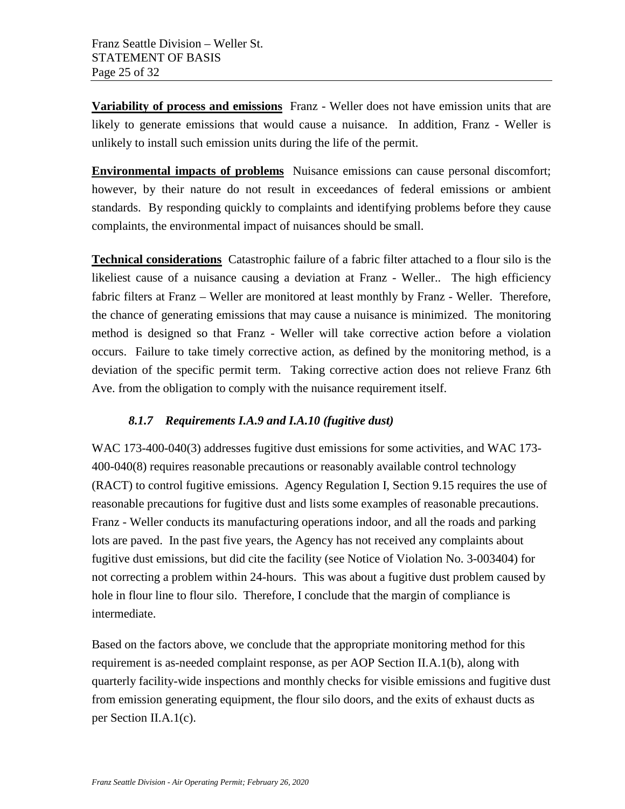**Variability of process and emissions** Franz - Weller does not have emission units that are likely to generate emissions that would cause a nuisance. In addition, Franz - Weller is unlikely to install such emission units during the life of the permit.

**Environmental impacts of problems** Nuisance emissions can cause personal discomfort; however, by their nature do not result in exceedances of federal emissions or ambient standards. By responding quickly to complaints and identifying problems before they cause complaints, the environmental impact of nuisances should be small.

**Technical considerations** Catastrophic failure of a fabric filter attached to a flour silo is the likeliest cause of a nuisance causing a deviation at Franz - Weller.. The high efficiency fabric filters at Franz – Weller are monitored at least monthly by Franz - Weller. Therefore, the chance of generating emissions that may cause a nuisance is minimized. The monitoring method is designed so that Franz - Weller will take corrective action before a violation occurs. Failure to take timely corrective action, as defined by the monitoring method, is a deviation of the specific permit term. Taking corrective action does not relieve Franz 6th Ave. from the obligation to comply with the nuisance requirement itself.

## <span id="page-24-0"></span>*8.1.7 Requirements I.A.9 and I.A.10 (fugitive dust)*

WAC 173-400-040(3) addresses fugitive dust emissions for some activities, and WAC 173- 400-040(8) requires reasonable precautions or reasonably available control technology (RACT) to control fugitive emissions. Agency Regulation I, Section 9.15 requires the use of reasonable precautions for fugitive dust and lists some examples of reasonable precautions. Franz - Weller conducts its manufacturing operations indoor, and all the roads and parking lots are paved. In the past five years, the Agency has not received any complaints about fugitive dust emissions, but did cite the facility (see Notice of Violation No. 3-003404) for not correcting a problem within 24-hours. This was about a fugitive dust problem caused by hole in flour line to flour silo. Therefore, I conclude that the margin of compliance is intermediate.

Based on the factors above, we conclude that the appropriate monitoring method for this requirement is as-needed complaint response, as per AOP Section II.A.1(b), along with quarterly facility-wide inspections and monthly checks for visible emissions and fugitive dust from emission generating equipment, the flour silo doors, and the exits of exhaust ducts as per Section II.A.1(c).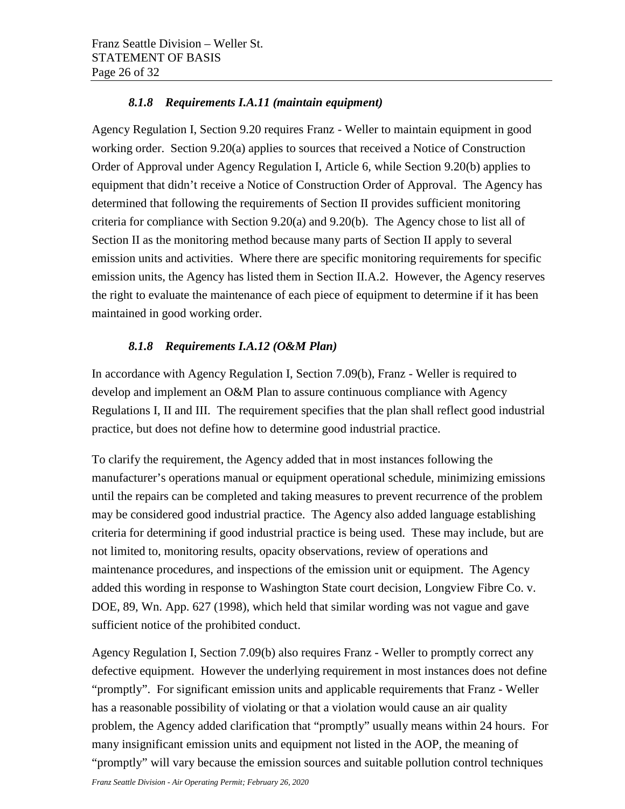## *8.1.8 Requirements I.A.11 (maintain equipment)*

<span id="page-25-0"></span>Agency Regulation I, Section 9.20 requires Franz - Weller to maintain equipment in good working order. Section 9.20(a) applies to sources that received a Notice of Construction Order of Approval under Agency Regulation I, Article 6, while Section 9.20(b) applies to equipment that didn't receive a Notice of Construction Order of Approval. The Agency has determined that following the requirements of Section II provides sufficient monitoring criteria for compliance with Section 9.20(a) and 9.20(b). The Agency chose to list all of Section II as the monitoring method because many parts of Section II apply to several emission units and activities. Where there are specific monitoring requirements for specific emission units, the Agency has listed them in Section II.A.2. However, the Agency reserves the right to evaluate the maintenance of each piece of equipment to determine if it has been maintained in good working order.

## <span id="page-25-1"></span>*8.1.8 Requirements I.A.12 (O&M Plan)*

In accordance with Agency Regulation I, Section 7.09(b), Franz - Weller is required to develop and implement an O&M Plan to assure continuous compliance with Agency Regulations I, II and III. The requirement specifies that the plan shall reflect good industrial practice, but does not define how to determine good industrial practice.

To clarify the requirement, the Agency added that in most instances following the manufacturer's operations manual or equipment operational schedule, minimizing emissions until the repairs can be completed and taking measures to prevent recurrence of the problem may be considered good industrial practice. The Agency also added language establishing criteria for determining if good industrial practice is being used. These may include, but are not limited to, monitoring results, opacity observations, review of operations and maintenance procedures, and inspections of the emission unit or equipment. The Agency added this wording in response to Washington State court decision, Longview Fibre Co. v. DOE, 89, Wn. App. 627 (1998), which held that similar wording was not vague and gave sufficient notice of the prohibited conduct.

Agency Regulation I, Section 7.09(b) also requires Franz - Weller to promptly correct any defective equipment. However the underlying requirement in most instances does not define "promptly". For significant emission units and applicable requirements that Franz - Weller has a reasonable possibility of violating or that a violation would cause an air quality problem, the Agency added clarification that "promptly" usually means within 24 hours. For many insignificant emission units and equipment not listed in the AOP, the meaning of "promptly" will vary because the emission sources and suitable pollution control techniques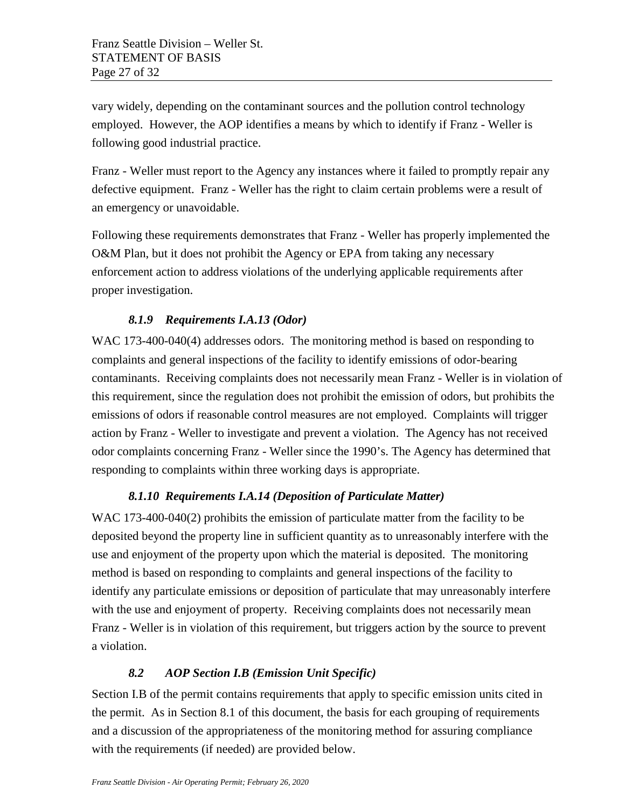vary widely, depending on the contaminant sources and the pollution control technology employed. However, the AOP identifies a means by which to identify if Franz - Weller is following good industrial practice.

Franz - Weller must report to the Agency any instances where it failed to promptly repair any defective equipment. Franz - Weller has the right to claim certain problems were a result of an emergency or unavoidable.

Following these requirements demonstrates that Franz - Weller has properly implemented the O&M Plan, but it does not prohibit the Agency or EPA from taking any necessary enforcement action to address violations of the underlying applicable requirements after proper investigation.

## *8.1.9 Requirements I.A.13 (Odor)*

<span id="page-26-0"></span>WAC 173-400-040(4) addresses odors. The monitoring method is based on responding to complaints and general inspections of the facility to identify emissions of odor-bearing contaminants. Receiving complaints does not necessarily mean Franz - Weller is in violation of this requirement, since the regulation does not prohibit the emission of odors, but prohibits the emissions of odors if reasonable control measures are not employed. Complaints will trigger action by Franz - Weller to investigate and prevent a violation. The Agency has not received odor complaints concerning Franz - Weller since the 1990's. The Agency has determined that responding to complaints within three working days is appropriate.

#### *8.1.10 Requirements I.A.14 (Deposition of Particulate Matter)*

<span id="page-26-1"></span>WAC 173-400-040(2) prohibits the emission of particulate matter from the facility to be deposited beyond the property line in sufficient quantity as to unreasonably interfere with the use and enjoyment of the property upon which the material is deposited. The monitoring method is based on responding to complaints and general inspections of the facility to identify any particulate emissions or deposition of particulate that may unreasonably interfere with the use and enjoyment of property. Receiving complaints does not necessarily mean Franz - Weller is in violation of this requirement, but triggers action by the source to prevent a violation.

## *8.2 AOP Section I.B (Emission Unit Specific)*

<span id="page-26-2"></span>Section I.B of the permit contains requirements that apply to specific emission units cited in the permit. As in Section 8.1 of this document, the basis for each grouping of requirements and a discussion of the appropriateness of the monitoring method for assuring compliance with the requirements (if needed) are provided below.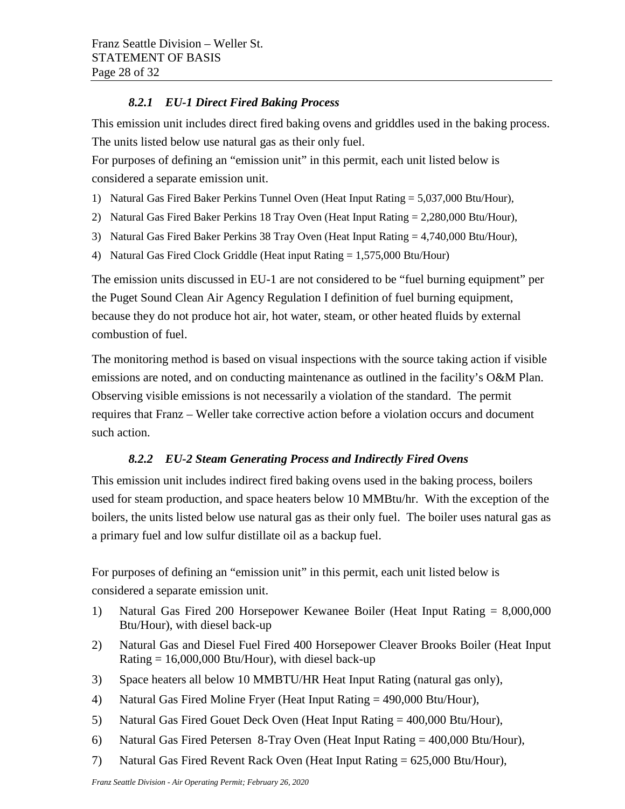## *8.2.1 EU-1 Direct Fired Baking Process*

<span id="page-27-0"></span>This emission unit includes direct fired baking ovens and griddles used in the baking process. The units listed below use natural gas as their only fuel.

For purposes of defining an "emission unit" in this permit, each unit listed below is considered a separate emission unit.

- 1) Natural Gas Fired Baker Perkins Tunnel Oven (Heat Input Rating = 5,037,000 Btu/Hour),
- 2) Natural Gas Fired Baker Perkins 18 Tray Oven (Heat Input Rating = 2,280,000 Btu/Hour),
- 3) Natural Gas Fired Baker Perkins 38 Tray Oven (Heat Input Rating = 4,740,000 Btu/Hour),
- 4) Natural Gas Fired Clock Griddle (Heat input Rating  $= 1.575,000$  Btu/Hour)

The emission units discussed in EU-1 are not considered to be "fuel burning equipment" per the Puget Sound Clean Air Agency Regulation I definition of fuel burning equipment, because they do not produce hot air, hot water, steam, or other heated fluids by external combustion of fuel.

The monitoring method is based on visual inspections with the source taking action if visible emissions are noted, and on conducting maintenance as outlined in the facility's O&M Plan. Observing visible emissions is not necessarily a violation of the standard. The permit requires that Franz – Weller take corrective action before a violation occurs and document such action.

## *8.2.2 EU-2 Steam Generating Process and Indirectly Fired Ovens*

<span id="page-27-1"></span>This emission unit includes indirect fired baking ovens used in the baking process, boilers used for steam production, and space heaters below 10 MMBtu/hr. With the exception of the boilers, the units listed below use natural gas as their only fuel. The boiler uses natural gas as a primary fuel and low sulfur distillate oil as a backup fuel.

For purposes of defining an "emission unit" in this permit, each unit listed below is considered a separate emission unit.

- 1) Natural Gas Fired 200 Horsepower Kewanee Boiler (Heat Input Rating = 8,000,000 Btu/Hour), with diesel back-up
- 2) Natural Gas and Diesel Fuel Fired 400 Horsepower Cleaver Brooks Boiler (Heat Input Rating  $= 16,000,000$  Btu/Hour), with diesel back-up
- 3) Space heaters all below 10 MMBTU/HR Heat Input Rating (natural gas only),
- 4) Natural Gas Fired Moline Fryer (Heat Input Rating = 490,000 Btu/Hour),
- 5) Natural Gas Fired Gouet Deck Oven (Heat Input Rating = 400,000 Btu/Hour),
- 6) Natural Gas Fired Petersen 8-Tray Oven (Heat Input Rating = 400,000 Btu/Hour),
- 7) Natural Gas Fired Revent Rack Oven (Heat Input Rating = 625,000 Btu/Hour),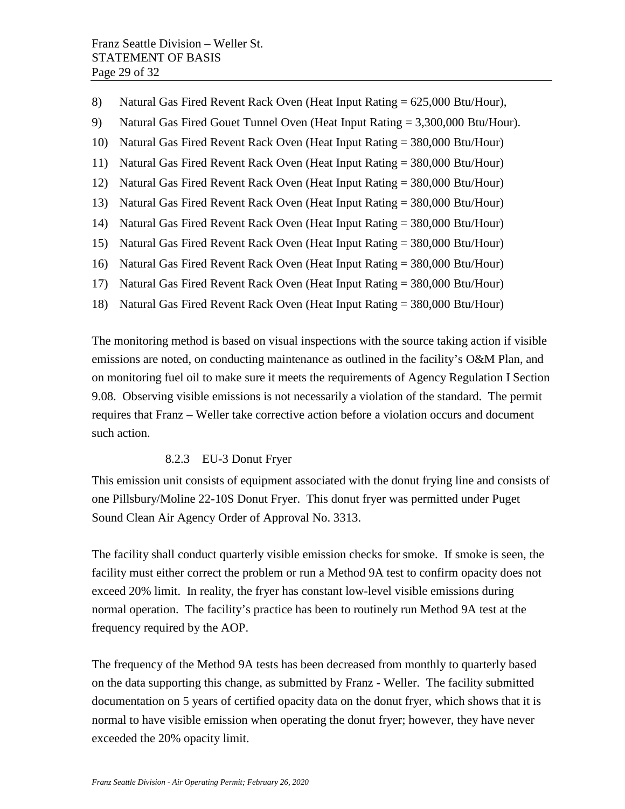- 8) Natural Gas Fired Revent Rack Oven (Heat Input Rating = 625,000 Btu/Hour),
- 9) Natural Gas Fired Gouet Tunnel Oven (Heat Input Rating = 3,300,000 Btu/Hour).
- 10) Natural Gas Fired Revent Rack Oven (Heat Input Rating = 380,000 Btu/Hour)
- 11) Natural Gas Fired Revent Rack Oven (Heat Input Rating = 380,000 Btu/Hour)
- 12) Natural Gas Fired Revent Rack Oven (Heat Input Rating = 380,000 Btu/Hour)
- 13) Natural Gas Fired Revent Rack Oven (Heat Input Rating = 380,000 Btu/Hour)
- 14) Natural Gas Fired Revent Rack Oven (Heat Input Rating = 380,000 Btu/Hour)
- 15) Natural Gas Fired Revent Rack Oven (Heat Input Rating = 380,000 Btu/Hour)
- 16) Natural Gas Fired Revent Rack Oven (Heat Input Rating = 380,000 Btu/Hour)
- 17) Natural Gas Fired Revent Rack Oven (Heat Input Rating = 380,000 Btu/Hour)
- 18) Natural Gas Fired Revent Rack Oven (Heat Input Rating = 380,000 Btu/Hour)

The monitoring method is based on visual inspections with the source taking action if visible emissions are noted, on conducting maintenance as outlined in the facility's O&M Plan, and on monitoring fuel oil to make sure it meets the requirements of Agency Regulation I Section 9.08. Observing visible emissions is not necessarily a violation of the standard. The permit requires that Franz – Weller take corrective action before a violation occurs and document such action.

#### 8.2.3 EU-3 Donut Fryer

<span id="page-28-0"></span>This emission unit consists of equipment associated with the donut frying line and consists of one Pillsbury/Moline 22-10S Donut Fryer. This donut fryer was permitted under Puget Sound Clean Air Agency Order of Approval No. 3313.

The facility shall conduct quarterly visible emission checks for smoke. If smoke is seen, the facility must either correct the problem or run a Method 9A test to confirm opacity does not exceed 20% limit. In reality, the fryer has constant low-level visible emissions during normal operation. The facility's practice has been to routinely run Method 9A test at the frequency required by the AOP.

The frequency of the Method 9A tests has been decreased from monthly to quarterly based on the data supporting this change, as submitted by Franz - Weller. The facility submitted documentation on 5 years of certified opacity data on the donut fryer, which shows that it is normal to have visible emission when operating the donut fryer; however, they have never exceeded the 20% opacity limit.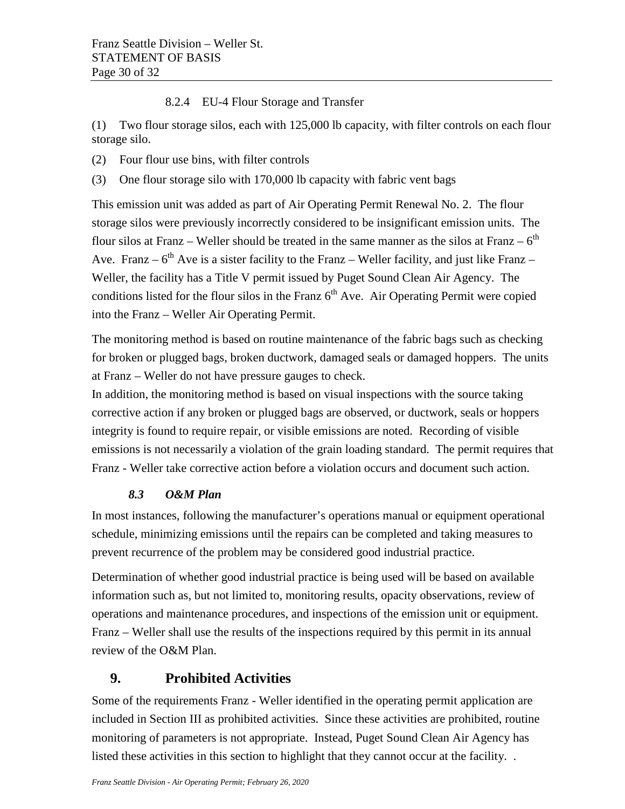### 8.2.4 EU-4 Flour Storage and Transfer

<span id="page-29-0"></span>(1) Two flour storage silos, each with 125,000 lb capacity, with filter controls on each flour storage silo.

- (2) Four flour use bins, with filter controls
- (3) One flour storage silo with 170,000 lb capacity with fabric vent bags

This emission unit was added as part of Air Operating Permit Renewal No. 2. The flour storage silos were previously incorrectly considered to be insignificant emission units. The flour silos at Franz – Weller should be treated in the same manner as the silos at Franz –  $6<sup>th</sup>$ Ave. Franz –  $6<sup>th</sup>$  Ave is a sister facility to the Franz – Weller facility, and just like Franz – Weller, the facility has a Title V permit issued by Puget Sound Clean Air Agency. The conditions listed for the flour silos in the Franz  $6<sup>th</sup>$  Ave. Air Operating Permit were copied into the Franz – Weller Air Operating Permit.

The monitoring method is based on routine maintenance of the fabric bags such as checking for broken or plugged bags, broken ductwork, damaged seals or damaged hoppers. The units at Franz – Weller do not have pressure gauges to check.

In addition, the monitoring method is based on visual inspections with the source taking corrective action if any broken or plugged bags are observed, or ductwork, seals or hoppers integrity is found to require repair, or visible emissions are noted. Recording of visible emissions is not necessarily a violation of the grain loading standard. The permit requires that Franz - Weller take corrective action before a violation occurs and document such action.

## *8.3 O&M Plan*

<span id="page-29-1"></span>In most instances, following the manufacturer's operations manual or equipment operational schedule, minimizing emissions until the repairs can be completed and taking measures to prevent recurrence of the problem may be considered good industrial practice.

Determination of whether good industrial practice is being used will be based on available information such as, but not limited to, monitoring results, opacity observations, review of operations and maintenance procedures, and inspections of the emission unit or equipment. Franz – Weller shall use the results of the inspections required by this permit in its annual review of the O&M Plan.

## <span id="page-29-2"></span>**9. Prohibited Activities**

Some of the requirements Franz - Weller identified in the operating permit application are included in Section III as prohibited activities. Since these activities are prohibited, routine monitoring of parameters is not appropriate. Instead, Puget Sound Clean Air Agency has listed these activities in this section to highlight that they cannot occur at the facility. .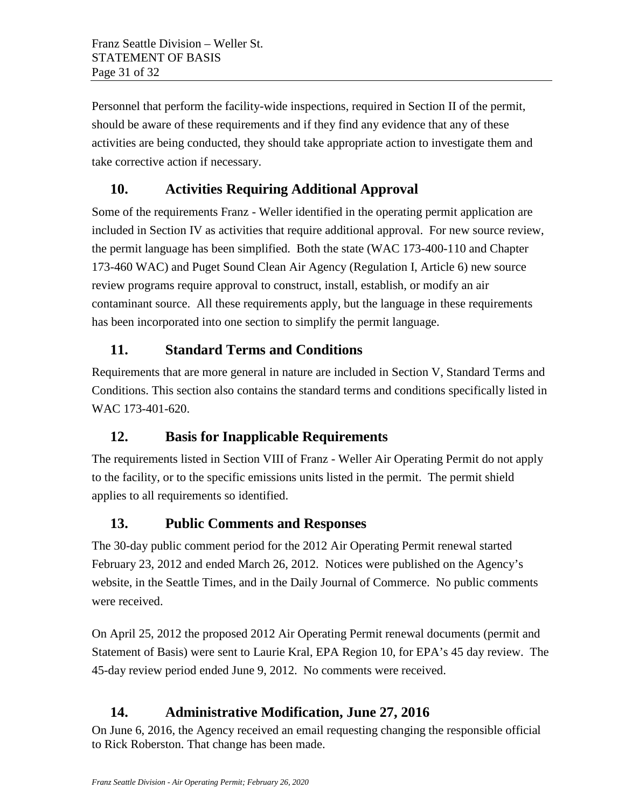Personnel that perform the facility-wide inspections, required in Section II of the permit, should be aware of these requirements and if they find any evidence that any of these activities are being conducted, they should take appropriate action to investigate them and take corrective action if necessary.

## <span id="page-30-0"></span>**10. Activities Requiring Additional Approval**

Some of the requirements Franz - Weller identified in the operating permit application are included in Section IV as activities that require additional approval. For new source review, the permit language has been simplified. Both the state (WAC 173-400-110 and Chapter 173-460 WAC) and Puget Sound Clean Air Agency (Regulation I, Article 6) new source review programs require approval to construct, install, establish, or modify an air contaminant source. All these requirements apply, but the language in these requirements has been incorporated into one section to simplify the permit language.

# <span id="page-30-1"></span>**11. Standard Terms and Conditions**

Requirements that are more general in nature are included in Section V, Standard Terms and Conditions. This section also contains the standard terms and conditions specifically listed in WAC 173-401-620.

# <span id="page-30-2"></span>**12. Basis for Inapplicable Requirements**

The requirements listed in Section VIII of Franz - Weller Air Operating Permit do not apply to the facility, or to the specific emissions units listed in the permit. The permit shield applies to all requirements so identified.

## <span id="page-30-3"></span>**13. Public Comments and Responses**

The 30-day public comment period for the 2012 Air Operating Permit renewal started February 23, 2012 and ended March 26, 2012. Notices were published on the Agency's website, in the Seattle Times, and in the Daily Journal of Commerce. No public comments were received.

On April 25, 2012 the proposed 2012 Air Operating Permit renewal documents (permit and Statement of Basis) were sent to Laurie Kral, EPA Region 10, for EPA's 45 day review. The 45-day review period ended June 9, 2012. No comments were received.

# **14. Administrative Modification, June 27, 2016**

On June 6, 2016, the Agency received an email requesting changing the responsible official to Rick Roberston. That change has been made.